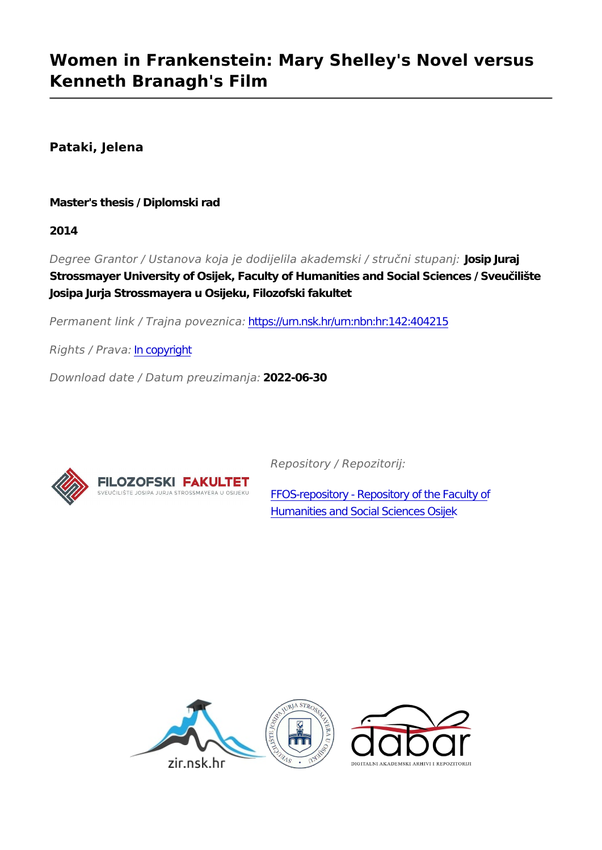## **Women in Frankenstein: Mary Shelley's Novel versus Kenneth Branagh's Film**

**Pataki, Jelena**

**Master's thesis / Diplomski rad**

**2014**

*Degree Grantor / Ustanova koja je dodijelila akademski / stručni stupanj:* **Josip Juraj Strossmayer University of Osijek, Faculty of Humanities and Social Sciences / Sveučilište Josipa Jurja Strossmayera u Osijeku, Filozofski fakultet**

*Permanent link / Trajna poveznica:* <https://urn.nsk.hr/urn:nbn:hr:142:404215>

*Rights / Prava:* [In copyright](http://rightsstatements.org/vocab/InC/1.0/)

*Download date / Datum preuzimanja:* **2022-06-30**



*Repository / Repozitorij:*

[FFOS-repository - Repository of the Faculty of](https://repozitorij.ffos.hr) [Humanities and Social Sciences Osijek](https://repozitorij.ffos.hr)

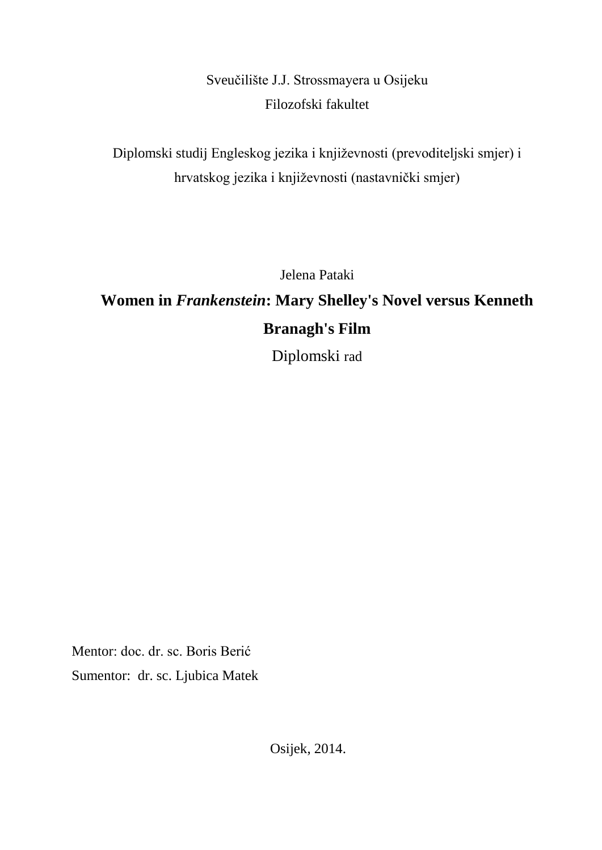Sveučilište J.J. Strossmayera u Osijeku Filozofski fakultet

Diplomski studij Engleskog jezika i književnosti (prevoditeljski smjer) i hrvatskog jezika i književnosti (nastavnički smjer)

Jelena Pataki

# **Women in** *Frankenstein***: Mary Shelley's Novel versus Kenneth Branagh's Film**

Diplomski rad

Mentor: doc. dr. sc. Boris Berić Sumentor: dr. sc. Ljubica Matek

Osijek, 2014.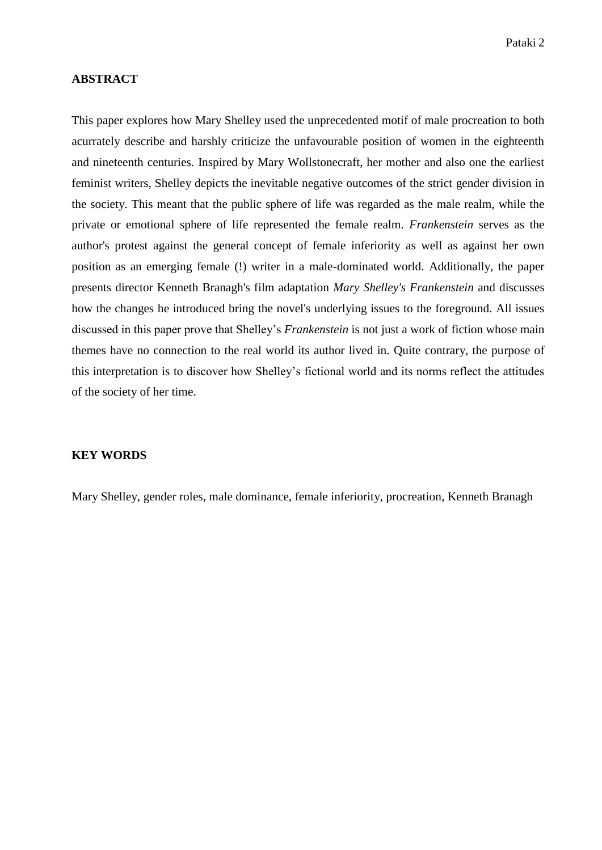#### **ABSTRACT**

This paper explores how Mary Shelley used the unprecedented motif of male procreation to both acurrately describe and harshly criticize the unfavourable position of women in the eighteenth and nineteenth centuries. Inspired by Mary Wollstonecraft, her mother and also one the earliest feminist writers, Shelley depicts the inevitable negative outcomes of the strict gender division in the society. This meant that the public sphere of life was regarded as the male realm, while the private or emotional sphere of life represented the female realm. *Frankenstein* serves as the author's protest against the general concept of female inferiority as well as against her own position as an emerging female (!) writer in a male-dominated world. Additionally, the paper presents director Kenneth Branagh's film adaptation *Mary Shelley's Frankenstein* and discusses how the changes he introduced bring the novel's underlying issues to the foreground. All issues discussed in this paper prove that Shelley's *Frankenstein* is not just a work of fiction whose main themes have no connection to the real world its author lived in. Quite contrary, the purpose of this interpretation is to discover how Shelley's fictional world and its norms reflect the attitudes of the society of her time.

#### **KEY WORDS**

Mary Shelley, gender roles, male dominance, female inferiority, procreation, Kenneth Branagh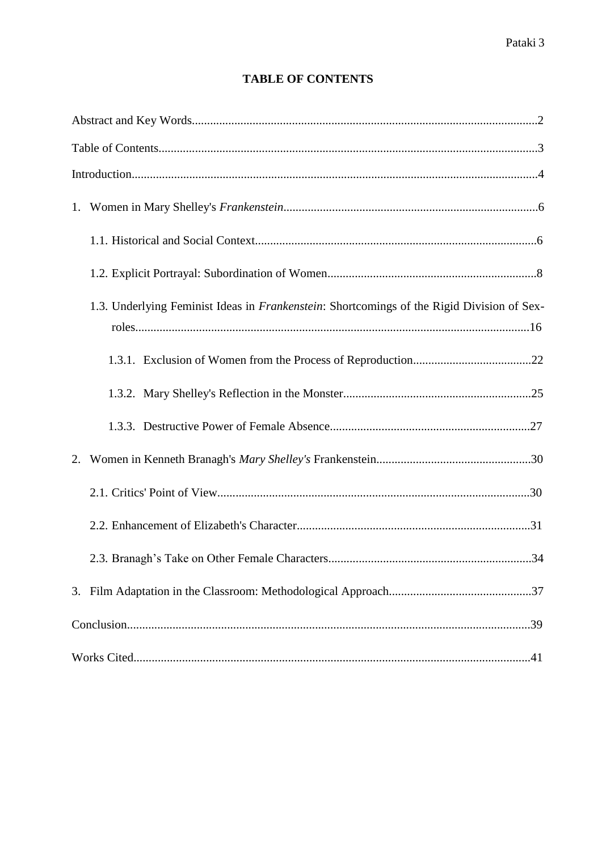### **TABLE OF CONTENTS**

|    | 1.3. Underlying Feminist Ideas in Frankenstein: Shortcomings of the Rigid Division of Sex- |
|----|--------------------------------------------------------------------------------------------|
|    |                                                                                            |
|    |                                                                                            |
|    |                                                                                            |
| 2. |                                                                                            |
|    |                                                                                            |
|    |                                                                                            |
|    |                                                                                            |
|    |                                                                                            |
|    |                                                                                            |
|    |                                                                                            |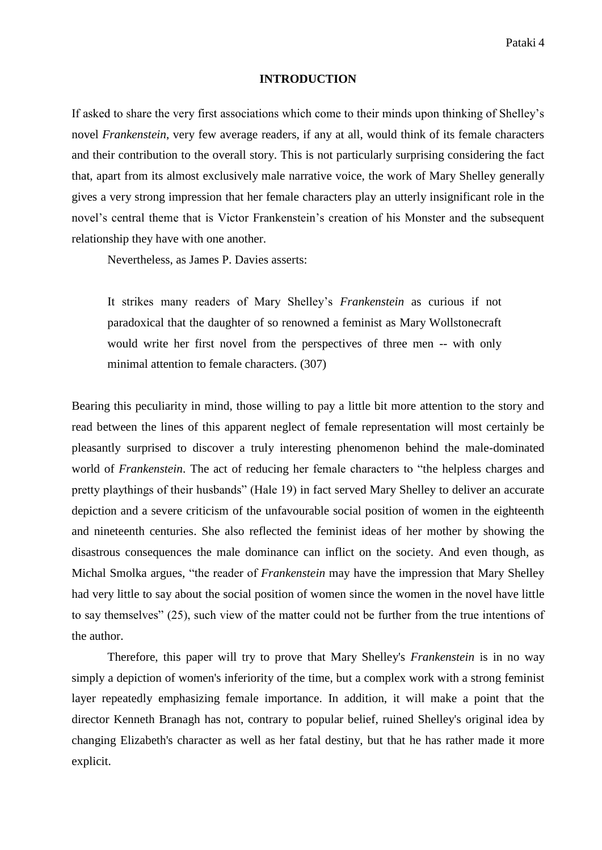#### **INTRODUCTION**

If asked to share the very first associations which come to their minds upon thinking of Shelley's novel *Frankenstein*, very few average readers, if any at all, would think of its female characters and their contribution to the overall story. This is not particularly surprising considering the fact that, apart from its almost exclusively male narrative voice, the work of Mary Shelley generally gives a very strong impression that her female characters play an utterly insignificant role in the novel's central theme that is Victor Frankenstein's creation of his Monster and the subsequent relationship they have with one another.

Nevertheless, as James P. Davies asserts:

It strikes many readers of Mary Shelley's *Frankenstein* as curious if not paradoxical that the daughter of so renowned a feminist as Mary Wollstonecraft would write her first novel from the perspectives of three men -- with only minimal attention to female characters. (307)

Bearing this peculiarity in mind, those willing to pay a little bit more attention to the story and read between the lines of this apparent neglect of female representation will most certainly be pleasantly surprised to discover a truly interesting phenomenon behind the male-dominated world of *Frankenstein*. The act of reducing her female characters to "the helpless charges and pretty playthings of their husbands" (Hale 19) in fact served Mary Shelley to deliver an accurate depiction and a severe criticism of the unfavourable social position of women in the eighteenth and nineteenth centuries. She also reflected the feminist ideas of her mother by showing the disastrous consequences the male dominance can inflict on the society. And even though, as Michal Smolka argues, "the reader of *Frankenstein* may have the impression that Mary Shelley had very little to say about the social position of women since the women in the novel have little to say themselves" (25), such view of the matter could not be further from the true intentions of the author.

Therefore, this paper will try to prove that Mary Shelley's *Frankenstein* is in no way simply a depiction of women's inferiority of the time, but a complex work with a strong feminist layer repeatedly emphasizing female importance. In addition, it will make a point that the director Kenneth Branagh has not, contrary to popular belief, ruined Shelley's original idea by changing Elizabeth's character as well as her fatal destiny, but that he has rather made it more explicit.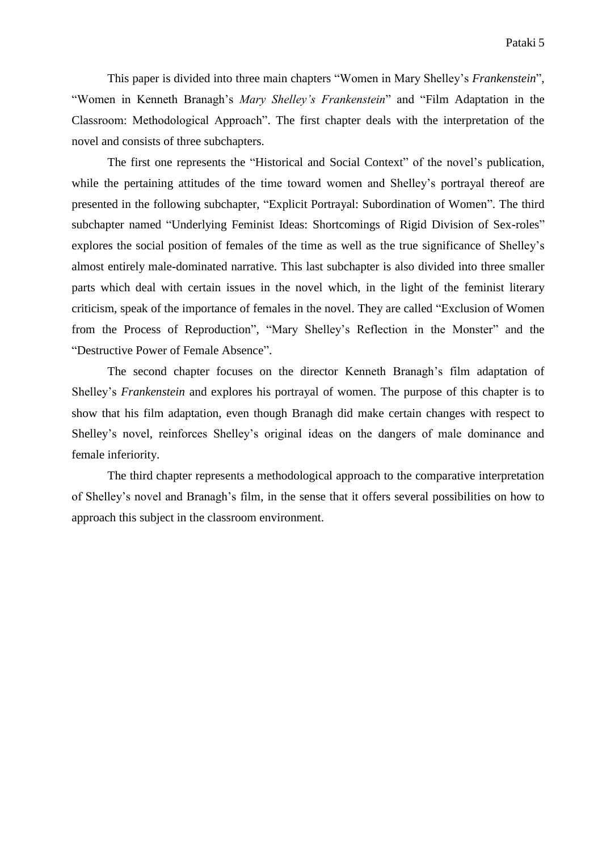This paper is divided into three main chapters "Women in Mary Shelley's *Frankenstein*", "Women in Kenneth Branagh's *Mary Shelley's Frankenstein*" and "Film Adaptation in the Classroom: Methodological Approach". The first chapter deals with the interpretation of the novel and consists of three subchapters.

The first one represents the "Historical and Social Context" of the novel's publication, while the pertaining attitudes of the time toward women and Shelley's portrayal thereof are presented in the following subchapter, "Explicit Portrayal: Subordination of Women". The third subchapter named "Underlying Feminist Ideas: Shortcomings of Rigid Division of Sex-roles" explores the social position of females of the time as well as the true significance of Shelley's almost entirely male-dominated narrative. This last subchapter is also divided into three smaller parts which deal with certain issues in the novel which, in the light of the feminist literary criticism, speak of the importance of females in the novel. They are called "Exclusion of Women from the Process of Reproduction", "Mary Shelley's Reflection in the Monster" and the "Destructive Power of Female Absence".

The second chapter focuses on the director Kenneth Branagh's film adaptation of Shelley's *Frankenstein* and explores his portrayal of women. The purpose of this chapter is to show that his film adaptation, even though Branagh did make certain changes with respect to Shelley's novel, reinforces Shelley's original ideas on the dangers of male dominance and female inferiority.

The third chapter represents a methodological approach to the comparative interpretation of Shelley's novel and Branagh's film, in the sense that it offers several possibilities on how to approach this subject in the classroom environment.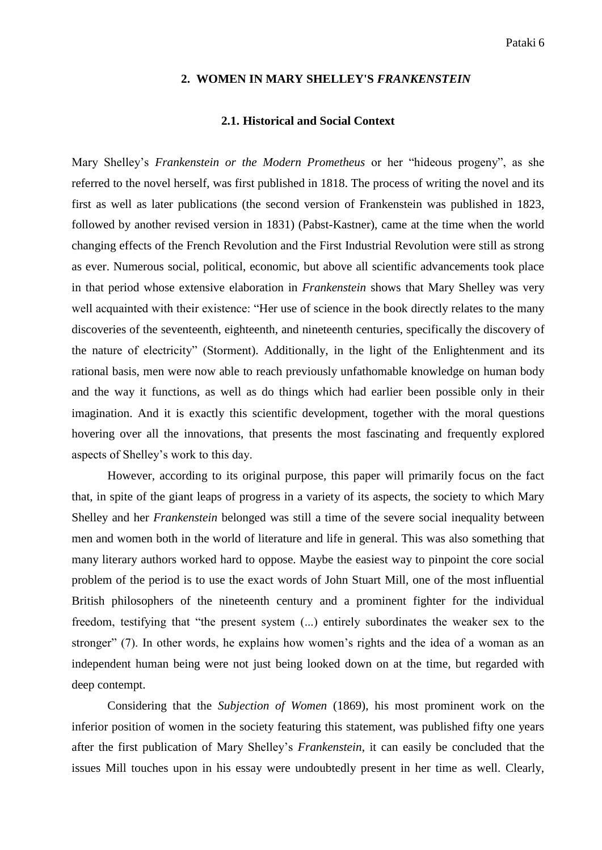#### **2. WOMEN IN MARY SHELLEY'S** *FRANKENSTEIN*

#### **2.1. Historical and Social Context**

Mary Shelley's *Frankenstein or the Modern Prometheus* or her "hideous progeny", as she referred to the novel herself, was first published in 1818. The process of writing the novel and its first as well as later publications (the second version of Frankenstein was published in 1823, followed by another revised version in 1831) (Pabst-Kastner), came at the time when the world changing effects of the French Revolution and the First Industrial Revolution were still as strong as ever. Numerous social, political, economic, but above all scientific advancements took place in that period whose extensive elaboration in *Frankenstein* shows that Mary Shelley was very well acquainted with their existence: "Her use of science in the book directly relates to the many discoveries of the seventeenth, eighteenth, and nineteenth centuries, specifically the discovery of the nature of electricity" (Storment). Additionally, in the light of the Enlightenment and its rational basis, men were now able to reach previously unfathomable knowledge on human body and the way it functions, as well as do things which had earlier been possible only in their imagination. And it is exactly this scientific development, together with the moral questions hovering over all the innovations, that presents the most fascinating and frequently explored aspects of Shelley's work to this day.

However, according to its original purpose, this paper will primarily focus on the fact that, in spite of the giant leaps of progress in a variety of its aspects, the society to which Mary Shelley and her *Frankenstein* belonged was still a time of the severe social inequality between men and women both in the world of literature and life in general. This was also something that many literary authors worked hard to oppose. Maybe the easiest way to pinpoint the core social problem of the period is to use the exact words of John Stuart Mill, one of the most influential British philosophers of the nineteenth century and a prominent fighter for the individual freedom, testifying that "the present system (...) entirely subordinates the weaker sex to the stronger" (7). In other words, he explains how women's rights and the idea of a woman as an independent human being were not just being looked down on at the time, but regarded with deep contempt.

Considering that the *Subjection of Women* (1869), his most prominent work on the inferior position of women in the society featuring this statement, was published fifty one years after the first publication of Mary Shelley's *Frankenstein*, it can easily be concluded that the issues Mill touches upon in his essay were undoubtedly present in her time as well. Clearly,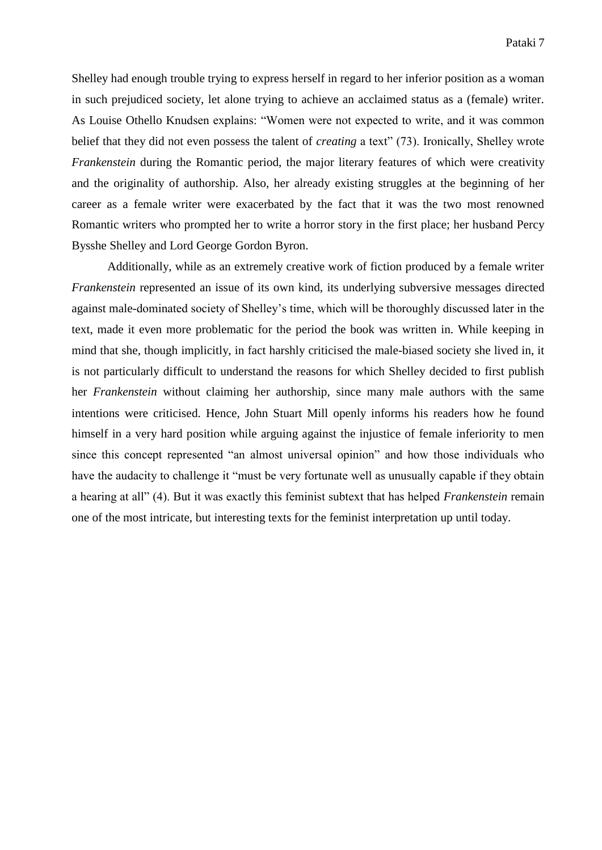Shelley had enough trouble trying to express herself in regard to her inferior position as a woman in such prejudiced society, let alone trying to achieve an acclaimed status as a (female) writer. As Louise Othello Knudsen explains: "Women were not expected to write, and it was common belief that they did not even possess the talent of *creating* a text" (73). Ironically, Shelley wrote *Frankenstein* during the Romantic period, the major literary features of which were creativity and the originality of authorship. Also, her already existing struggles at the beginning of her career as a female writer were exacerbated by the fact that it was the two most renowned Romantic writers who prompted her to write a horror story in the first place; her husband Percy Bysshe Shelley and Lord George Gordon Byron.

Additionally, while as an extremely creative work of fiction produced by a female writer *Frankenstein* represented an issue of its own kind, its underlying subversive messages directed against male-dominated society of Shelley's time, which will be thoroughly discussed later in the text, made it even more problematic for the period the book was written in. While keeping in mind that she, though implicitly, in fact harshly criticised the male-biased society she lived in, it is not particularly difficult to understand the reasons for which Shelley decided to first publish her *Frankenstein* without claiming her authorship, since many male authors with the same intentions were criticised. Hence, John Stuart Mill openly informs his readers how he found himself in a very hard position while arguing against the injustice of female inferiority to men since this concept represented "an almost universal opinion" and how those individuals who have the audacity to challenge it "must be very fortunate well as unusually capable if they obtain a hearing at all" (4). But it was exactly this feminist subtext that has helped *Frankenstein* remain one of the most intricate, but interesting texts for the feminist interpretation up until today.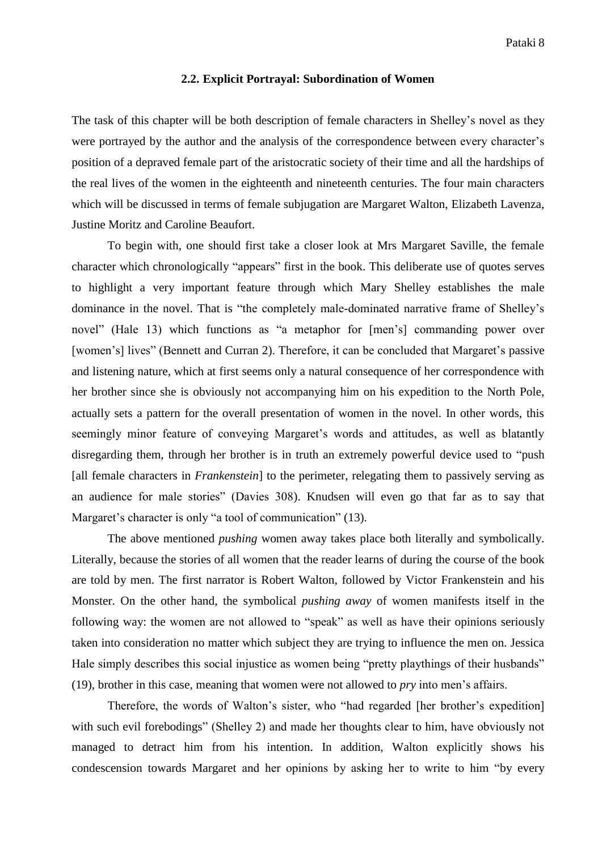#### **2.2. Explicit Portrayal: Subordination of Women**

The task of this chapter will be both description of female characters in Shelley's novel as they were portrayed by the author and the analysis of the correspondence between every character's position of a depraved female part of the aristocratic society of their time and all the hardships of the real lives of the women in the eighteenth and nineteenth centuries. The four main characters which will be discussed in terms of female subjugation are Margaret Walton, Elizabeth Lavenza, Justine Moritz and Caroline Beaufort.

To begin with, one should first take a closer look at Mrs Margaret Saville, the female character which chronologically "appears" first in the book. This deliberate use of quotes serves to highlight a very important feature through which Mary Shelley establishes the male dominance in the novel. That is "the completely male-dominated narrative frame of Shelley's novel" (Hale 13) which functions as "a metaphor for [men's] commanding power over [women's] lives" (Bennett and Curran 2). Therefore, it can be concluded that Margaret's passive and listening nature, which at first seems only a natural consequence of her correspondence with her brother since she is obviously not accompanying him on his expedition to the North Pole, actually sets a pattern for the overall presentation of women in the novel. In other words, this seemingly minor feature of conveying Margaret's words and attitudes, as well as blatantly disregarding them, through her brother is in truth an extremely powerful device used to "push [all female characters in *Frankenstein*] to the perimeter, relegating them to passively serving as an audience for male stories" (Davies 308). Knudsen will even go that far as to say that Margaret's character is only "a tool of communication" (13).

The above mentioned *pushing* women away takes place both literally and symbolically. Literally, because the stories of all women that the reader learns of during the course of the book are told by men. The first narrator is Robert Walton, followed by Victor Frankenstein and his Monster. On the other hand, the symbolical *pushing away* of women manifests itself in the following way: the women are not allowed to "speak" as well as have their opinions seriously taken into consideration no matter which subject they are trying to influence the men on. Jessica Hale simply describes this social injustice as women being "pretty playthings of their husbands" (19), brother in this case, meaning that women were not allowed to *pry* into men's affairs.

Therefore, the words of Walton's sister, who "had regarded [her brother's expedition] with such evil forebodings" (Shelley 2) and made her thoughts clear to him, have obviously not managed to detract him from his intention. In addition, Walton explicitly shows his condescension towards Margaret and her opinions by asking her to write to him "by every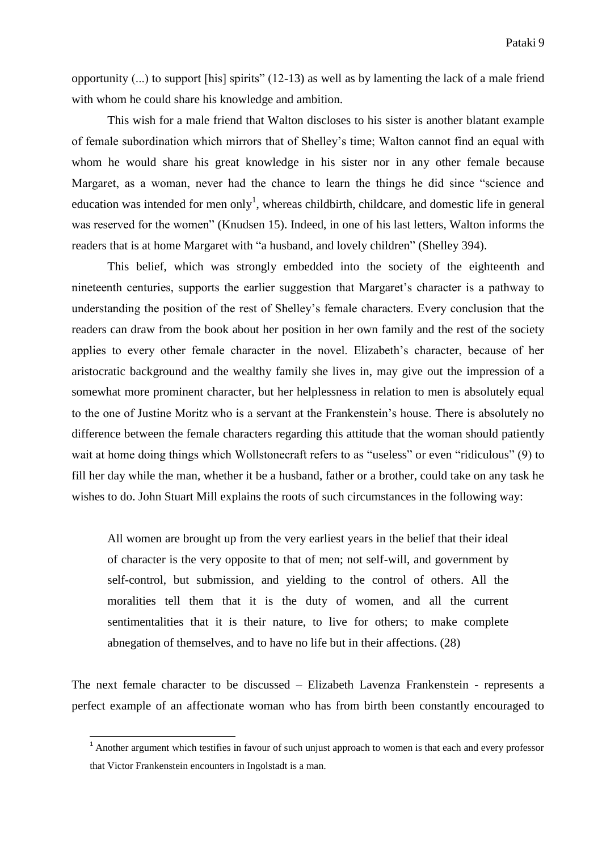opportunity (...) to support [his] spirits" (12-13) as well as by lamenting the lack of a male friend with whom he could share his knowledge and ambition.

This wish for a male friend that Walton discloses to his sister is another blatant example of female subordination which mirrors that of Shelley's time; Walton cannot find an equal with whom he would share his great knowledge in his sister nor in any other female because Margaret, as a woman, never had the chance to learn the things he did since "science and education was intended for men only<sup>1</sup>, whereas childbirth, childcare, and domestic life in general was reserved for the women" (Knudsen 15). Indeed, in one of his last letters, Walton informs the readers that is at home Margaret with "a husband, and lovely children" (Shelley 394).

This belief, which was strongly embedded into the society of the eighteenth and nineteenth centuries, supports the earlier suggestion that Margaret's character is a pathway to understanding the position of the rest of Shelley's female characters. Every conclusion that the readers can draw from the book about her position in her own family and the rest of the society applies to every other female character in the novel. Elizabeth's character, because of her aristocratic background and the wealthy family she lives in, may give out the impression of a somewhat more prominent character, but her helplessness in relation to men is absolutely equal to the one of Justine Moritz who is a servant at the Frankenstein's house. There is absolutely no difference between the female characters regarding this attitude that the woman should patiently wait at home doing things which Wollstonecraft refers to as "useless" or even "ridiculous" (9) to fill her day while the man, whether it be a husband, father or a brother, could take on any task he wishes to do. John Stuart Mill explains the roots of such circumstances in the following way:

All women are brought up from the very earliest years in the belief that their ideal of character is the very opposite to that of men; not self-will, and government by self-control, but submission, and yielding to the control of others. All the moralities tell them that it is the duty of women, and all the current sentimentalities that it is their nature, to live for others; to make complete abnegation of themselves, and to have no life but in their affections. (28)

The next female character to be discussed – Elizabeth Lavenza Frankenstein - represents a perfect example of an affectionate woman who has from birth been constantly encouraged to

1

<sup>&</sup>lt;sup>1</sup> Another argument which testifies in favour of such unjust approach to women is that each and every professor that Victor Frankenstein encounters in Ingolstadt is a man.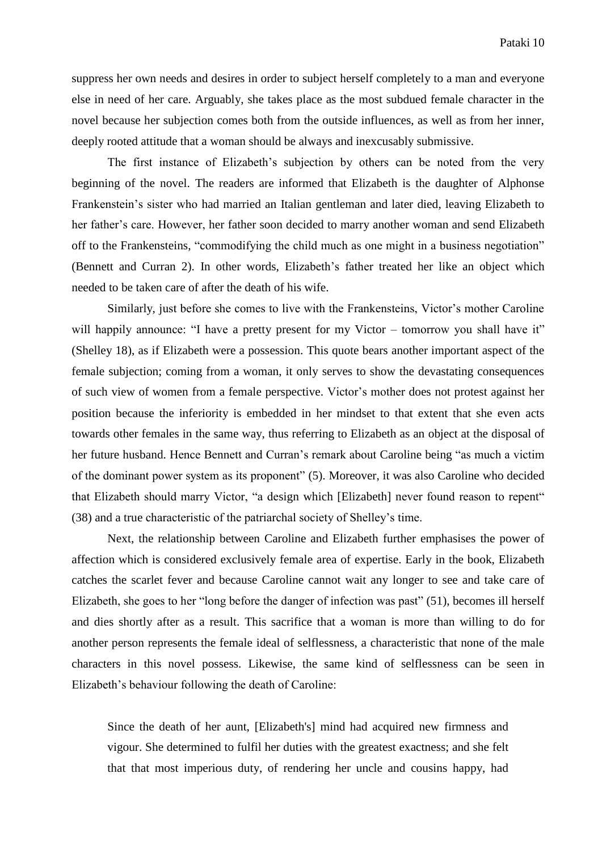suppress her own needs and desires in order to subject herself completely to a man and everyone else in need of her care. Arguably, she takes place as the most subdued female character in the novel because her subjection comes both from the outside influences, as well as from her inner, deeply rooted attitude that a woman should be always and inexcusably submissive.

The first instance of Elizabeth's subjection by others can be noted from the very beginning of the novel. The readers are informed that Elizabeth is the daughter of Alphonse Frankenstein's sister who had married an Italian gentleman and later died, leaving Elizabeth to her father's care. However, her father soon decided to marry another woman and send Elizabeth off to the Frankensteins, "commodifying the child much as one might in a business negotiation" (Bennett and Curran 2). In other words, Elizabeth's father treated her like an object which needed to be taken care of after the death of his wife.

Similarly, just before she comes to live with the Frankensteins, Victor's mother Caroline will happily announce: "I have a pretty present for my Victor – tomorrow you shall have it" (Shelley 18), as if Elizabeth were a possession. This quote bears another important aspect of the female subjection; coming from a woman, it only serves to show the devastating consequences of such view of women from a female perspective. Victor's mother does not protest against her position because the inferiority is embedded in her mindset to that extent that she even acts towards other females in the same way, thus referring to Elizabeth as an object at the disposal of her future husband. Hence Bennett and Curran's remark about Caroline being "as much a victim of the dominant power system as its proponent" (5). Moreover, it was also Caroline who decided that Elizabeth should marry Victor, "a design which [Elizabeth] never found reason to repent" (38) and a true characteristic of the patriarchal society of Shelley's time.

Next, the relationship between Caroline and Elizabeth further emphasises the power of affection which is considered exclusively female area of expertise. Early in the book, Elizabeth catches the scarlet fever and because Caroline cannot wait any longer to see and take care of Elizabeth, she goes to her "long before the danger of infection was past" (51), becomes ill herself and dies shortly after as a result. This sacrifice that a woman is more than willing to do for another person represents the female ideal of selflessness, a characteristic that none of the male characters in this novel possess. Likewise, the same kind of selflessness can be seen in Elizabeth's behaviour following the death of Caroline:

Since the death of her aunt, [Elizabeth's] mind had acquired new firmness and vigour. She determined to fulfil her duties with the greatest exactness; and she felt that that most imperious duty, of rendering her uncle and cousins happy, had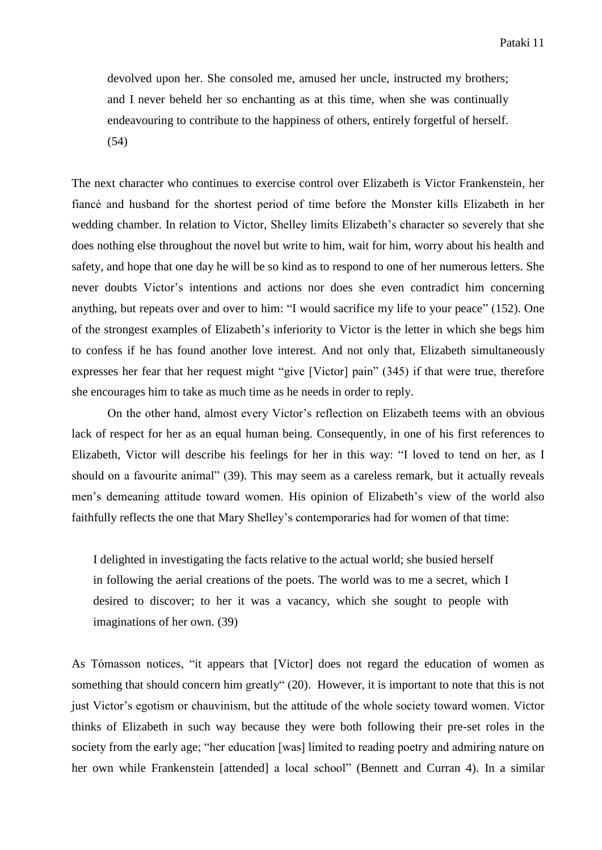devolved upon her. She consoled me, amused her uncle, instructed my brothers; and I never beheld her so enchanting as at this time, when she was continually endeavouring to contribute to the happiness of others, entirely forgetful of herself. (54)

The next character who continues to exercise control over Elizabeth is Victor Frankenstein, her fiancé and husband for the shortest period of time before the Monster kills Elizabeth in her wedding chamber. In relation to Victor, Shelley limits Elizabeth's character so severely that she does nothing else throughout the novel but write to him, wait for him, worry about his health and safety, and hope that one day he will be so kind as to respond to one of her numerous letters. She never doubts Victor's intentions and actions nor does she even contradict him concerning anything, but repeats over and over to him: "I would sacrifice my life to your peace" (152). One of the strongest examples of Elizabeth's inferiority to Victor is the letter in which she begs him to confess if he has found another love interest. And not only that, Elizabeth simultaneously expresses her fear that her request might "give [Victor] pain" (345) if that were true, therefore she encourages him to take as much time as he needs in order to reply.

On the other hand, almost every Victor's reflection on Elizabeth teems with an obvious lack of respect for her as an equal human being. Consequently, in one of his first references to Elizabeth, Victor will describe his feelings for her in this way: "I loved to tend on her, as I should on a favourite animal" (39). This may seem as a careless remark, but it actually reveals men's demeaning attitude toward women. His opinion of Elizabeth's view of the world also faithfully reflects the one that Mary Shelley's contemporaries had for women of that time:

I delighted in investigating the facts relative to the actual world; she busied herself in following the aerial creations of the poets. The world was to me a secret, which I desired to discover; to her it was a vacancy, which she sought to people with imaginations of her own. (39)

As Tómasson notices, "it appears that [Victor] does not regard the education of women as something that should concern him greatly" (20). However, it is important to note that this is not just Victor's egotism or chauvinism, but the attitude of the whole society toward women. Victor thinks of Elizabeth in such way because they were both following their pre-set roles in the society from the early age; "her education [was] limited to reading poetry and admiring nature on her own while Frankenstein [attended] a local school" (Bennett and Curran 4). In a similar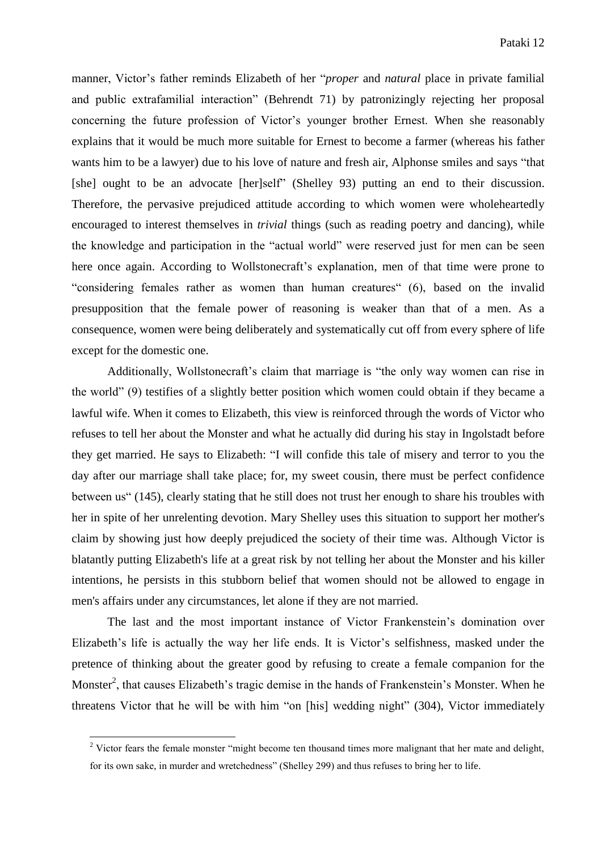manner, Victor's father reminds Elizabeth of her "*proper* and *natural* place in private familial and public extrafamilial interaction" (Behrendt 71) by patronizingly rejecting her proposal concerning the future profession of Victor's younger brother Ernest. When she reasonably explains that it would be much more suitable for Ernest to become a farmer (whereas his father wants him to be a lawyer) due to his love of nature and fresh air, Alphonse smiles and says "that [she] ought to be an advocate [her]self" (Shelley 93) putting an end to their discussion. Therefore, the pervasive prejudiced attitude according to which women were wholeheartedly encouraged to interest themselves in *trivial* things (such as reading poetry and dancing), while the knowledge and participation in the "actual world" were reserved just for men can be seen here once again. According to Wollstonecraft's explanation, men of that time were prone to "considering females rather as women than human creatures" (6), based on the invalid presupposition that the female power of reasoning is weaker than that of a men. As a consequence, women were being deliberately and systematically cut off from every sphere of life except for the domestic one.

Additionally, Wollstonecraft's claim that marriage is "the only way women can rise in the world" (9) testifies of a slightly better position which women could obtain if they became a lawful wife. When it comes to Elizabeth, this view is reinforced through the words of Victor who refuses to tell her about the Monster and what he actually did during his stay in Ingolstadt before they get married. He says to Elizabeth: "I will confide this tale of misery and terror to you the day after our marriage shall take place; for, my sweet cousin, there must be perfect confidence between us" (145), clearly stating that he still does not trust her enough to share his troubles with her in spite of her unrelenting devotion. Mary Shelley uses this situation to support her mother's claim by showing just how deeply prejudiced the society of their time was. Although Victor is blatantly putting Elizabeth's life at a great risk by not telling her about the Monster and his killer intentions, he persists in this stubborn belief that women should not be allowed to engage in men's affairs under any circumstances, let alone if they are not married.

The last and the most important instance of Victor Frankenstein's domination over Elizabeth's life is actually the way her life ends. It is Victor's selfishness, masked under the pretence of thinking about the greater good by refusing to create a female companion for the Monster<sup>2</sup>, that causes Elizabeth's tragic demise in the hands of Frankenstein's Monster. When he threatens Victor that he will be with him "on [his] wedding night" (304), Victor immediately

1

<sup>&</sup>lt;sup>2</sup> Victor fears the female monster "might become ten thousand times more malignant that her mate and delight, for its own sake, in murder and wretchedness" (Shelley 299) and thus refuses to bring her to life.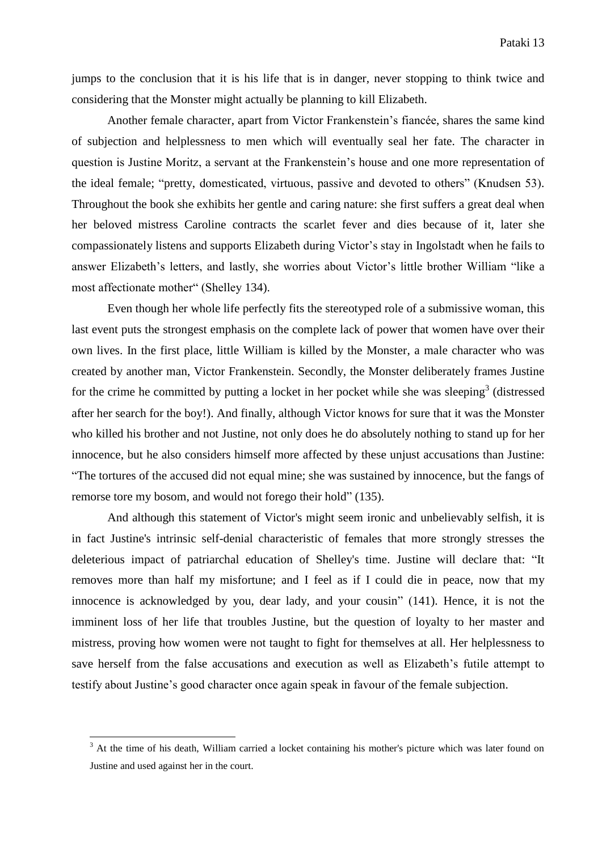jumps to the conclusion that it is his life that is in danger, never stopping to think twice and considering that the Monster might actually be planning to kill Elizabeth.

Another female character, apart from Victor Frankenstein's fiancée, shares the same kind of subjection and helplessness to men which will eventually seal her fate. The character in question is Justine Moritz, a servant at the Frankenstein's house and one more representation of the ideal female; "pretty, domesticated, virtuous, passive and devoted to others" (Knudsen 53). Throughout the book she exhibits her gentle and caring nature: she first suffers a great deal when her beloved mistress Caroline contracts the scarlet fever and dies because of it, later she compassionately listens and supports Elizabeth during Victor's stay in Ingolstadt when he fails to answer Elizabeth's letters, and lastly, she worries about Victor's little brother William "like a most affectionate mother" (Shelley 134).

Even though her whole life perfectly fits the stereotyped role of a submissive woman, this last event puts the strongest emphasis on the complete lack of power that women have over their own lives. In the first place, little William is killed by the Monster, a male character who was created by another man, Victor Frankenstein. Secondly, the Monster deliberately frames Justine for the crime he committed by putting a locket in her pocket while she was sleeping<sup>3</sup> (distressed after her search for the boy!). And finally, although Victor knows for sure that it was the Monster who killed his brother and not Justine, not only does he do absolutely nothing to stand up for her innocence, but he also considers himself more affected by these unjust accusations than Justine: "The tortures of the accused did not equal mine; she was sustained by innocence, but the fangs of remorse tore my bosom, and would not forego their hold" (135).

And although this statement of Victor's might seem ironic and unbelievably selfish, it is in fact Justine's intrinsic self-denial characteristic of females that more strongly stresses the deleterious impact of patriarchal education of Shelley's time. Justine will declare that: "It removes more than half my misfortune; and I feel as if I could die in peace, now that my innocence is acknowledged by you, dear lady, and your cousin" (141). Hence, it is not the imminent loss of her life that troubles Justine, but the question of loyalty to her master and mistress, proving how women were not taught to fight for themselves at all. Her helplessness to save herself from the false accusations and execution as well as Elizabeth's futile attempt to testify about Justine's good character once again speak in favour of the female subjection.

1

<sup>&</sup>lt;sup>3</sup> At the time of his death, William carried a locket containing his mother's picture which was later found on Justine and used against her in the court.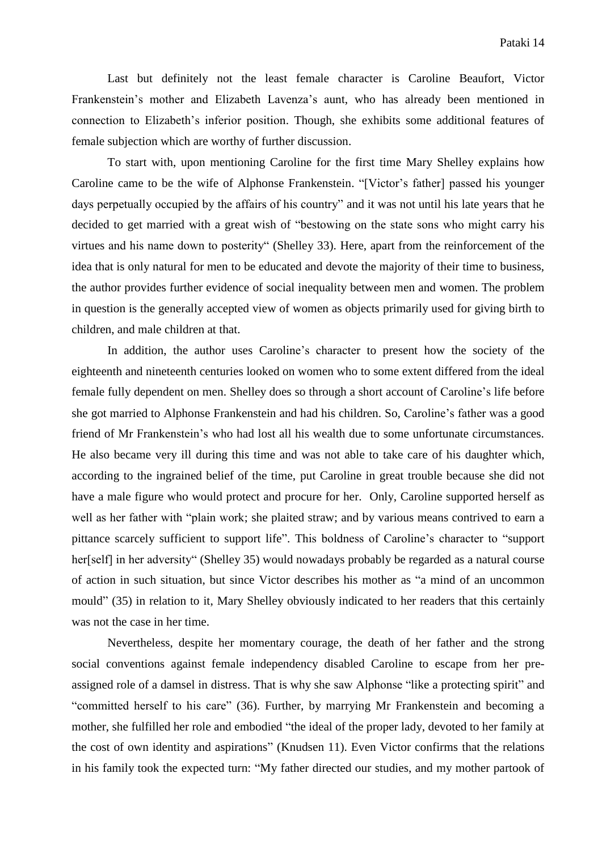Last but definitely not the least female character is Caroline Beaufort, Victor Frankenstein's mother and Elizabeth Lavenza's aunt, who has already been mentioned in connection to Elizabeth's inferior position. Though, she exhibits some additional features of female subjection which are worthy of further discussion.

To start with, upon mentioning Caroline for the first time Mary Shelley explains how Caroline came to be the wife of Alphonse Frankenstein. "[Victor's father] passed his younger days perpetually occupied by the affairs of his country" and it was not until his late years that he decided to get married with a great wish of "bestowing on the state sons who might carry his virtues and his name down to posterity" (Shelley 33). Here, apart from the reinforcement of the idea that is only natural for men to be educated and devote the majority of their time to business, the author provides further evidence of social inequality between men and women. The problem in question is the generally accepted view of women as objects primarily used for giving birth to children, and male children at that.

In addition, the author uses Caroline's character to present how the society of the eighteenth and nineteenth centuries looked on women who to some extent differed from the ideal female fully dependent on men. Shelley does so through a short account of Caroline's life before she got married to Alphonse Frankenstein and had his children. So, Caroline's father was a good friend of Mr Frankenstein's who had lost all his wealth due to some unfortunate circumstances. He also became very ill during this time and was not able to take care of his daughter which, according to the ingrained belief of the time, put Caroline in great trouble because she did not have a male figure who would protect and procure for her. Only, Caroline supported herself as well as her father with "plain work; she plaited straw; and by various means contrived to earn a pittance scarcely sufficient to support life". This boldness of Caroline's character to "support her[self] in her adversity" (Shelley 35) would nowadays probably be regarded as a natural course of action in such situation, but since Victor describes his mother as "a mind of an uncommon mould" (35) in relation to it, Mary Shelley obviously indicated to her readers that this certainly was not the case in her time.

Nevertheless, despite her momentary courage, the death of her father and the strong social conventions against female independency disabled Caroline to escape from her preassigned role of a damsel in distress. That is why she saw Alphonse "like a protecting spirit" and "committed herself to his care" (36). Further, by marrying Mr Frankenstein and becoming a mother, she fulfilled her role and embodied "the ideal of the proper lady, devoted to her family at the cost of own identity and aspirations" (Knudsen 11). Even Victor confirms that the relations in his family took the expected turn: "My father directed our studies, and my mother partook of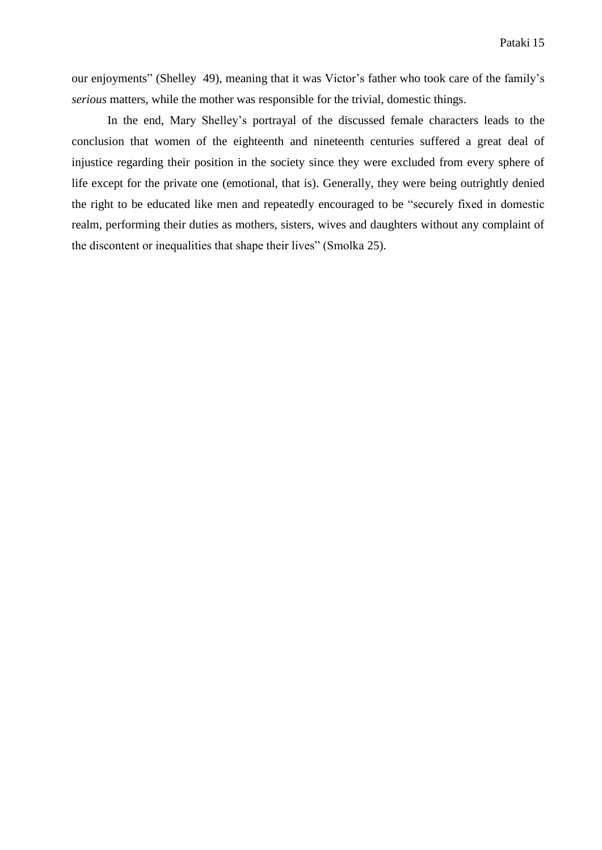our enjoyments" (Shelley 49), meaning that it was Victor's father who took care of the family's *serious* matters, while the mother was responsible for the trivial, domestic things.

In the end, Mary Shelley's portrayal of the discussed female characters leads to the conclusion that women of the eighteenth and nineteenth centuries suffered a great deal of injustice regarding their position in the society since they were excluded from every sphere of life except for the private one (emotional, that is). Generally, they were being outrightly denied the right to be educated like men and repeatedly encouraged to be "securely fixed in domestic realm, performing their duties as mothers, sisters, wives and daughters without any complaint of the discontent or inequalities that shape their lives" (Smolka 25).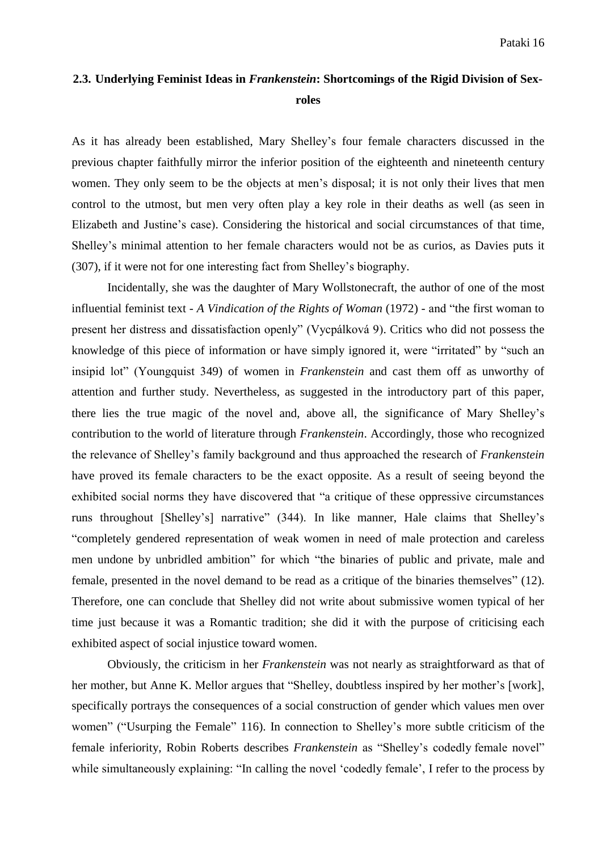## **2.3. Underlying Feminist Ideas in** *Frankenstein***: Shortcomings of the Rigid Division of Sexroles**

As it has already been established, Mary Shelley's four female characters discussed in the previous chapter faithfully mirror the inferior position of the eighteenth and nineteenth century women. They only seem to be the objects at men's disposal; it is not only their lives that men control to the utmost, but men very often play a key role in their deaths as well (as seen in Elizabeth and Justine's case). Considering the historical and social circumstances of that time, Shelley's minimal attention to her female characters would not be as curios, as Davies puts it (307), if it were not for one interesting fact from Shelley's biography.

Incidentally, she was the daughter of Mary Wollstonecraft, the author of one of the most influential feminist text - *A Vindication of the Rights of Woman* (1972) - and "the first woman to present her distress and dissatisfaction openly" (Vycpálková 9). Critics who did not possess the knowledge of this piece of information or have simply ignored it, were "irritated" by "such an insipid lot" (Youngquist 349) of women in *Frankenstein* and cast them off as unworthy of attention and further study. Nevertheless, as suggested in the introductory part of this paper, there lies the true magic of the novel and, above all, the significance of Mary Shelley's contribution to the world of literature through *Frankenstein*. Accordingly, those who recognized the relevance of Shelley's family background and thus approached the research of *Frankenstein* have proved its female characters to be the exact opposite. As a result of seeing beyond the exhibited social norms they have discovered that "a critique of these oppressive circumstances runs throughout [Shelley's] narrative" (344). In like manner, Hale claims that Shelley's "completely gendered representation of weak women in need of male protection and careless men undone by unbridled ambition" for which "the binaries of public and private, male and female, presented in the novel demand to be read as a critique of the binaries themselves" (12). Therefore, one can conclude that Shelley did not write about submissive women typical of her time just because it was a Romantic tradition; she did it with the purpose of criticising each exhibited aspect of social injustice toward women.

Obviously, the criticism in her *Frankenstein* was not nearly as straightforward as that of her mother, but Anne K. Mellor argues that "Shelley, doubtless inspired by her mother's [work], specifically portrays the consequences of a social construction of gender which values men over women" ("Usurping the Female" 116). In connection to Shelley's more subtle criticism of the female inferiority, Robin Roberts describes *Frankenstein* as "Shelley's codedly female novel" while simultaneously explaining: "In calling the novel 'codedly female', I refer to the process by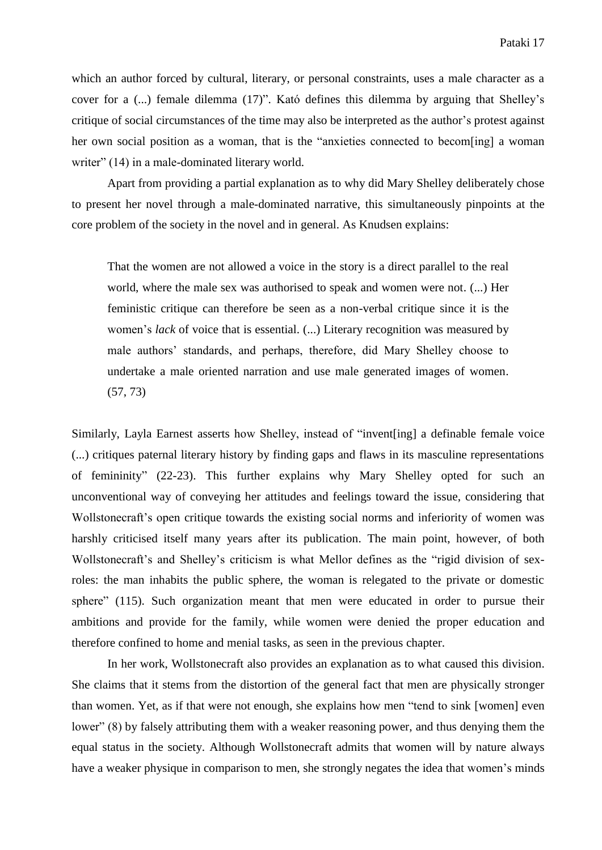which an author forced by cultural, literary, or personal constraints, uses a male character as a cover for a (...) female dilemma (17)". Kató defines this dilemma by arguing that Shelley's critique of social circumstances of the time may also be interpreted as the author's protest against her own social position as a woman, that is the "anxieties connected to becom[ing] a woman writer" (14) in a male-dominated literary world.

Apart from providing a partial explanation as to why did Mary Shelley deliberately chose to present her novel through a male-dominated narrative, this simultaneously pinpoints at the core problem of the society in the novel and in general. As Knudsen explains:

That the women are not allowed a voice in the story is a direct parallel to the real world, where the male sex was authorised to speak and women were not. (...) Her feministic critique can therefore be seen as a non-verbal critique since it is the women's *lack* of voice that is essential. (...) Literary recognition was measured by male authors' standards, and perhaps, therefore, did Mary Shelley choose to undertake a male oriented narration and use male generated images of women. (57, 73)

Similarly, Layla Earnest asserts how Shelley, instead of "invent[ing] a definable female voice (...) critiques paternal literary history by finding gaps and flaws in its masculine representations of femininity" (22-23). This further explains why Mary Shelley opted for such an unconventional way of conveying her attitudes and feelings toward the issue, considering that Wollstonecraft's open critique towards the existing social norms and inferiority of women was harshly criticised itself many years after its publication. The main point, however, of both Wollstonecraft's and Shelley's criticism is what Mellor defines as the "rigid division of sexroles: the man inhabits the public sphere, the woman is relegated to the private or domestic sphere" (115). Such organization meant that men were educated in order to pursue their ambitions and provide for the family, while women were denied the proper education and therefore confined to home and menial tasks, as seen in the previous chapter.

In her work, Wollstonecraft also provides an explanation as to what caused this division. She claims that it stems from the distortion of the general fact that men are physically stronger than women. Yet, as if that were not enough, she explains how men "tend to sink [women] even lower" (8) by falsely attributing them with a weaker reasoning power, and thus denying them the equal status in the society. Although Wollstonecraft admits that women will by nature always have a weaker physique in comparison to men, she strongly negates the idea that women's minds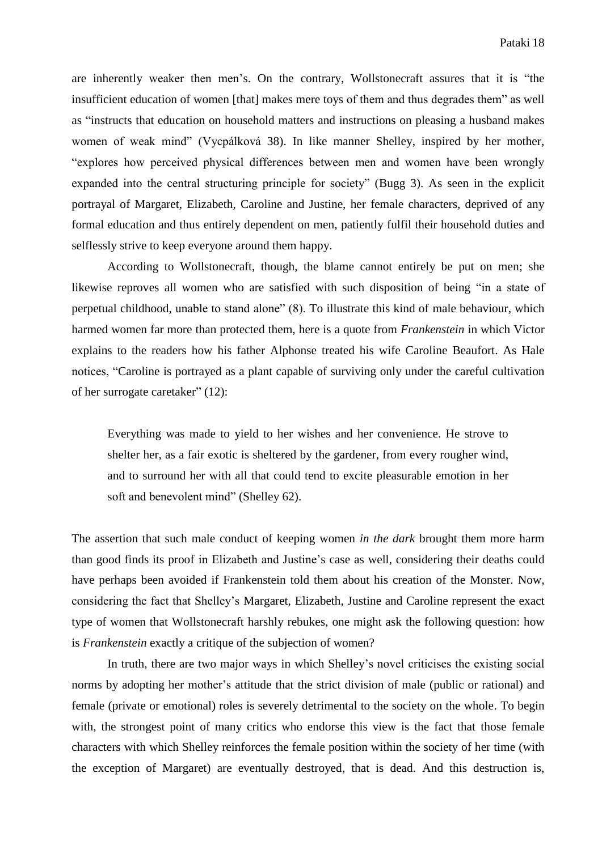are inherently weaker then men's. On the contrary, Wollstonecraft assures that it is "the insufficient education of women [that] makes mere toys of them and thus degrades them" as well as "instructs that education on household matters and instructions on pleasing a husband makes women of weak mind" (Vycpálková 38). In like manner Shelley, inspired by her mother, "explores how perceived physical differences between men and women have been wrongly expanded into the central structuring principle for society" (Bugg 3). As seen in the explicit portrayal of Margaret, Elizabeth, Caroline and Justine, her female characters, deprived of any formal education and thus entirely dependent on men, patiently fulfil their household duties and selflessly strive to keep everyone around them happy.

According to Wollstonecraft, though, the blame cannot entirely be put on men; she likewise reproves all women who are satisfied with such disposition of being "in a state of perpetual childhood, unable to stand alone" (8). To illustrate this kind of male behaviour, which harmed women far more than protected them, here is a quote from *Frankenstein* in which Victor explains to the readers how his father Alphonse treated his wife Caroline Beaufort. As Hale notices, "Caroline is portrayed as a plant capable of surviving only under the careful cultivation of her surrogate caretaker" (12):

Everything was made to yield to her wishes and her convenience. He strove to shelter her, as a fair exotic is sheltered by the gardener, from every rougher wind, and to surround her with all that could tend to excite pleasurable emotion in her soft and benevolent mind" (Shelley 62).

The assertion that such male conduct of keeping women *in the dark* brought them more harm than good finds its proof in Elizabeth and Justine's case as well, considering their deaths could have perhaps been avoided if Frankenstein told them about his creation of the Monster. Now, considering the fact that Shelley's Margaret, Elizabeth, Justine and Caroline represent the exact type of women that Wollstonecraft harshly rebukes, one might ask the following question: how is *Frankenstein* exactly a critique of the subjection of women?

In truth, there are two major ways in which Shelley's novel criticises the existing social norms by adopting her mother's attitude that the strict division of male (public or rational) and female (private or emotional) roles is severely detrimental to the society on the whole. To begin with, the strongest point of many critics who endorse this view is the fact that those female characters with which Shelley reinforces the female position within the society of her time (with the exception of Margaret) are eventually destroyed, that is dead. And this destruction is,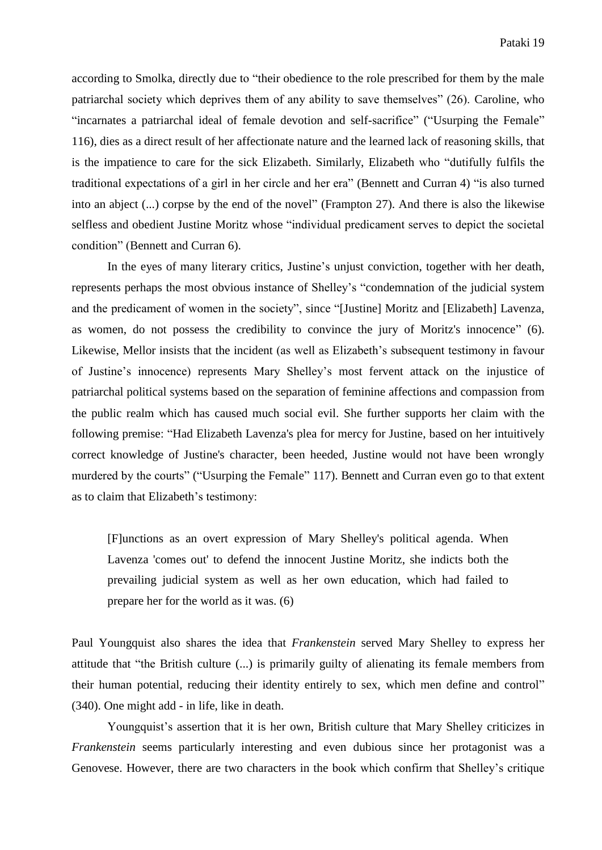according to Smolka, directly due to "their obedience to the role prescribed for them by the male patriarchal society which deprives them of any ability to save themselves" (26). Caroline, who "incarnates a patriarchal ideal of female devotion and self-sacrifice" ("Usurping the Female" 116), dies as a direct result of her affectionate nature and the learned lack of reasoning skills, that is the impatience to care for the sick Elizabeth. Similarly, Elizabeth who "dutifully fulfils the traditional expectations of a girl in her circle and her era" (Bennett and Curran 4) "is also turned into an abject (...) corpse by the end of the novel" (Frampton 27). And there is also the likewise selfless and obedient Justine Moritz whose "individual predicament serves to depict the societal condition" (Bennett and Curran 6).

In the eyes of many literary critics, Justine's unjust conviction, together with her death, represents perhaps the most obvious instance of Shelley's "condemnation of the judicial system and the predicament of women in the society", since "[Justine] Moritz and [Elizabeth] Lavenza, as women, do not possess the credibility to convince the jury of Moritz's innocence" (6). Likewise, Mellor insists that the incident (as well as Elizabeth's subsequent testimony in favour of Justine's innocence) represents Mary Shelley's most fervent attack on the injustice of patriarchal political systems based on the separation of feminine affections and compassion from the public realm which has caused much social evil. She further supports her claim with the following premise: "Had Elizabeth Lavenza's plea for mercy for Justine, based on her intuitively correct knowledge of Justine's character, been heeded, Justine would not have been wrongly murdered by the courts" ("Usurping the Female" 117). Bennett and Curran even go to that extent as to claim that Elizabeth's testimony:

[F]unctions as an overt expression of Mary Shelley's political agenda. When Lavenza 'comes out' to defend the innocent Justine Moritz, she indicts both the prevailing judicial system as well as her own education, which had failed to prepare her for the world as it was. (6)

Paul Youngquist also shares the idea that *Frankenstein* served Mary Shelley to express her attitude that "the British culture (...) is primarily guilty of alienating its female members from their human potential, reducing their identity entirely to sex, which men define and control" (340). One might add - in life, like in death.

Youngquist's assertion that it is her own, British culture that Mary Shelley criticizes in *Frankenstein* seems particularly interesting and even dubious since her protagonist was a Genovese. However, there are two characters in the book which confirm that Shelley's critique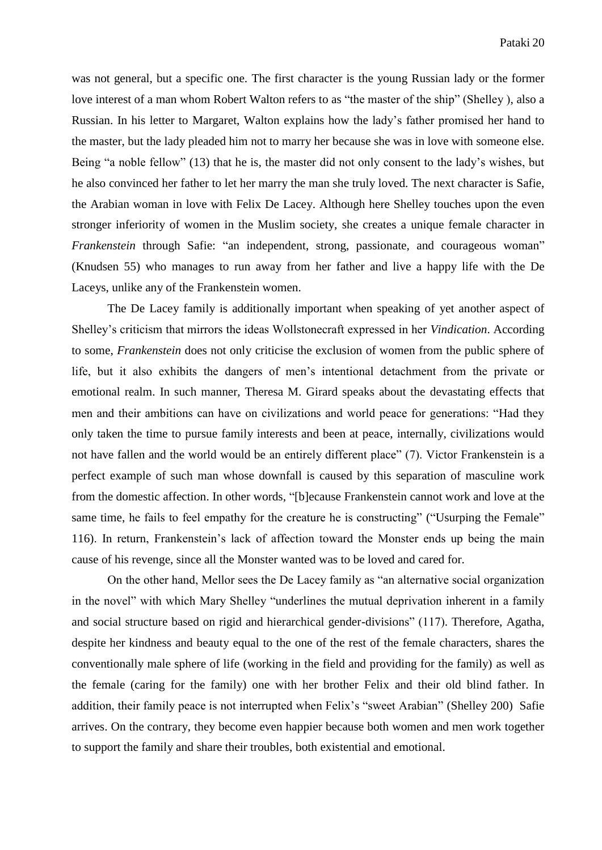was not general, but a specific one. The first character is the young Russian lady or the former love interest of a man whom Robert Walton refers to as "the master of the ship" (Shelley ), also a Russian. In his letter to Margaret, Walton explains how the lady's father promised her hand to the master, but the lady pleaded him not to marry her because she was in love with someone else. Being "a noble fellow" (13) that he is, the master did not only consent to the lady's wishes, but he also convinced her father to let her marry the man she truly loved. The next character is Safie, the Arabian woman in love with Felix De Lacey. Although here Shelley touches upon the even stronger inferiority of women in the Muslim society, she creates a unique female character in *Frankenstein* through Safie: "an independent, strong, passionate, and courageous woman" (Knudsen 55) who manages to run away from her father and live a happy life with the De Laceys, unlike any of the Frankenstein women.

The De Lacey family is additionally important when speaking of yet another aspect of Shelley's criticism that mirrors the ideas Wollstonecraft expressed in her *Vindication*. According to some, *Frankenstein* does not only criticise the exclusion of women from the public sphere of life, but it also exhibits the dangers of men's intentional detachment from the private or emotional realm. In such manner, Theresa M. Girard speaks about the devastating effects that men and their ambitions can have on civilizations and world peace for generations: "Had they only taken the time to pursue family interests and been at peace, internally, civilizations would not have fallen and the world would be an entirely different place" (7). Victor Frankenstein is a perfect example of such man whose downfall is caused by this separation of masculine work from the domestic affection. In other words, "[b]ecause Frankenstein cannot work and love at the same time, he fails to feel empathy for the creature he is constructing" ("Usurping the Female" 116). In return, Frankenstein's lack of affection toward the Monster ends up being the main cause of his revenge, since all the Monster wanted was to be loved and cared for.

On the other hand, Mellor sees the De Lacey family as "an alternative social organization in the novel" with which Mary Shelley "underlines the mutual deprivation inherent in a family and social structure based on rigid and hierarchical gender-divisions" (117). Therefore, Agatha, despite her kindness and beauty equal to the one of the rest of the female characters, shares the conventionally male sphere of life (working in the field and providing for the family) as well as the female (caring for the family) one with her brother Felix and their old blind father. In addition, their family peace is not interrupted when Felix's "sweet Arabian" (Shelley 200) Safie arrives. On the contrary, they become even happier because both women and men work together to support the family and share their troubles, both existential and emotional.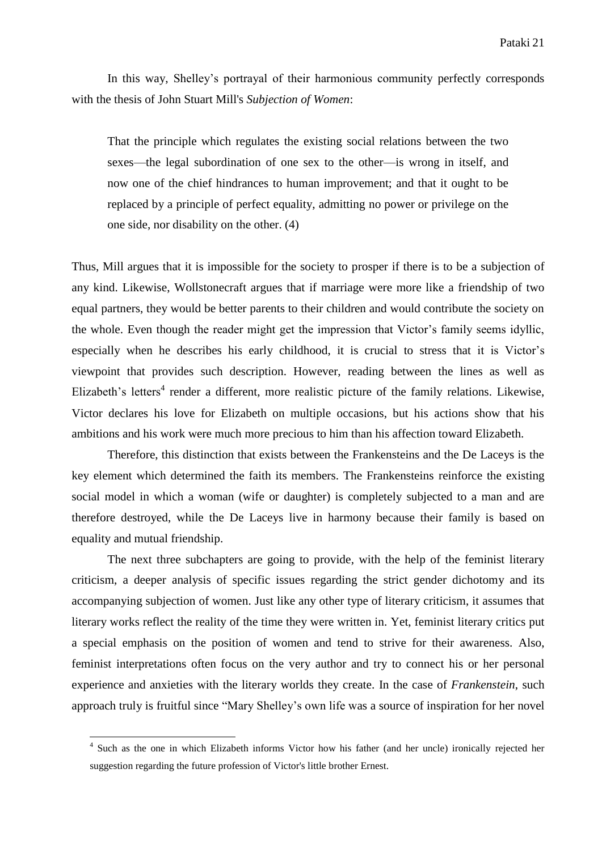In this way, Shelley's portrayal of their harmonious community perfectly corresponds with the thesis of John Stuart Mill's *Subjection of Women*:

That the principle which regulates the existing social relations between the two sexes—the legal subordination of one sex to the other—is wrong in itself, and now one of the chief hindrances to human improvement; and that it ought to be replaced by a principle of perfect equality, admitting no power or privilege on the one side, nor disability on the other. (4)

Thus, Mill argues that it is impossible for the society to prosper if there is to be a subjection of any kind. Likewise, Wollstonecraft argues that if marriage were more like a friendship of two equal partners, they would be better parents to their children and would contribute the society on the whole. Even though the reader might get the impression that Victor's family seems idyllic, especially when he describes his early childhood, it is crucial to stress that it is Victor's viewpoint that provides such description. However, reading between the lines as well as Elizabeth's letters<sup>4</sup> render a different, more realistic picture of the family relations. Likewise, Victor declares his love for Elizabeth on multiple occasions, but his actions show that his ambitions and his work were much more precious to him than his affection toward Elizabeth.

Therefore, this distinction that exists between the Frankensteins and the De Laceys is the key element which determined the faith its members. The Frankensteins reinforce the existing social model in which a woman (wife or daughter) is completely subjected to a man and are therefore destroyed, while the De Laceys live in harmony because their family is based on equality and mutual friendship.

The next three subchapters are going to provide, with the help of the feminist literary criticism, a deeper analysis of specific issues regarding the strict gender dichotomy and its accompanying subjection of women. Just like any other type of literary criticism, it assumes that literary works reflect the reality of the time they were written in. Yet, feminist literary critics put a special emphasis on the position of women and tend to strive for their awareness. Also, feminist interpretations often focus on the very author and try to connect his or her personal experience and anxieties with the literary worlds they create. In the case of *Frankenstein*, such approach truly is fruitful since "Mary Shelley's own life was a source of inspiration for her novel

1

<sup>&</sup>lt;sup>4</sup> Such as the one in which Elizabeth informs Victor how his father (and her uncle) ironically rejected her suggestion regarding the future profession of Victor's little brother Ernest.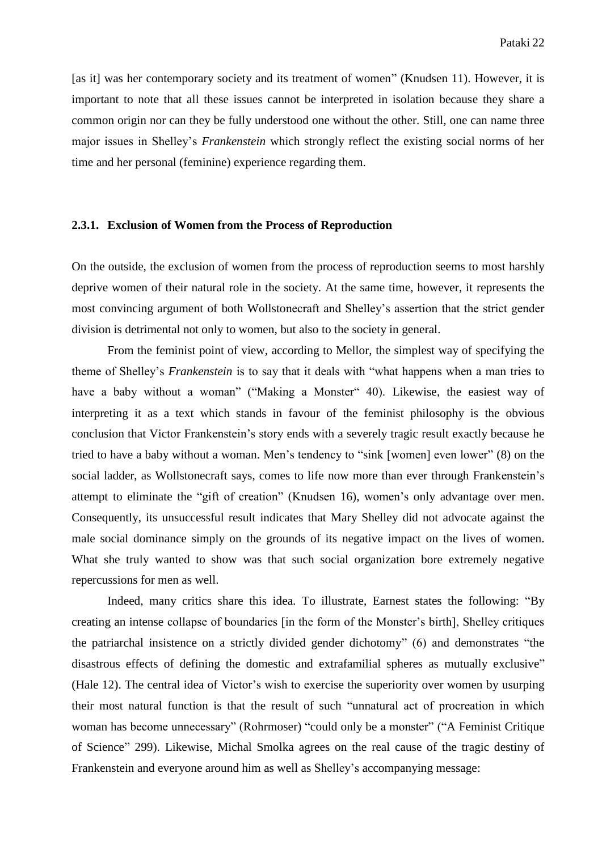[as it] was her contemporary society and its treatment of women" (Knudsen 11). However, it is important to note that all these issues cannot be interpreted in isolation because they share a common origin nor can they be fully understood one without the other. Still, one can name three major issues in Shelley's *Frankenstein* which strongly reflect the existing social norms of her time and her personal (feminine) experience regarding them.

#### **2.3.1. Exclusion of Women from the Process of Reproduction**

On the outside, the exclusion of women from the process of reproduction seems to most harshly deprive women of their natural role in the society. At the same time, however, it represents the most convincing argument of both Wollstonecraft and Shelley's assertion that the strict gender division is detrimental not only to women, but also to the society in general.

From the feminist point of view, according to Mellor, the simplest way of specifying the theme of Shelley's *Frankenstein* is to say that it deals with "what happens when a man tries to have a baby without a woman" ("Making a Monster" 40). Likewise, the easiest way of interpreting it as a text which stands in favour of the feminist philosophy is the obvious conclusion that Victor Frankenstein's story ends with a severely tragic result exactly because he tried to have a baby without a woman. Men's tendency to "sink [women] even lower" (8) on the social ladder, as Wollstonecraft says, comes to life now more than ever through Frankenstein's attempt to eliminate the "gift of creation" (Knudsen 16), women's only advantage over men. Consequently, its unsuccessful result indicates that Mary Shelley did not advocate against the male social dominance simply on the grounds of its negative impact on the lives of women. What she truly wanted to show was that such social organization bore extremely negative repercussions for men as well.

Indeed, many critics share this idea. To illustrate, Earnest states the following: "By creating an intense collapse of boundaries [in the form of the Monster's birth], Shelley critiques the patriarchal insistence on a strictly divided gender dichotomy" (6) and demonstrates "the disastrous effects of defining the domestic and extrafamilial spheres as mutually exclusive" (Hale 12). The central idea of Victor's wish to exercise the superiority over women by usurping their most natural function is that the result of such "unnatural act of procreation in which woman has become unnecessary" (Rohrmoser) "could only be a monster" ("A Feminist Critique of Science" 299). Likewise, Michal Smolka agrees on the real cause of the tragic destiny of Frankenstein and everyone around him as well as Shelley's accompanying message: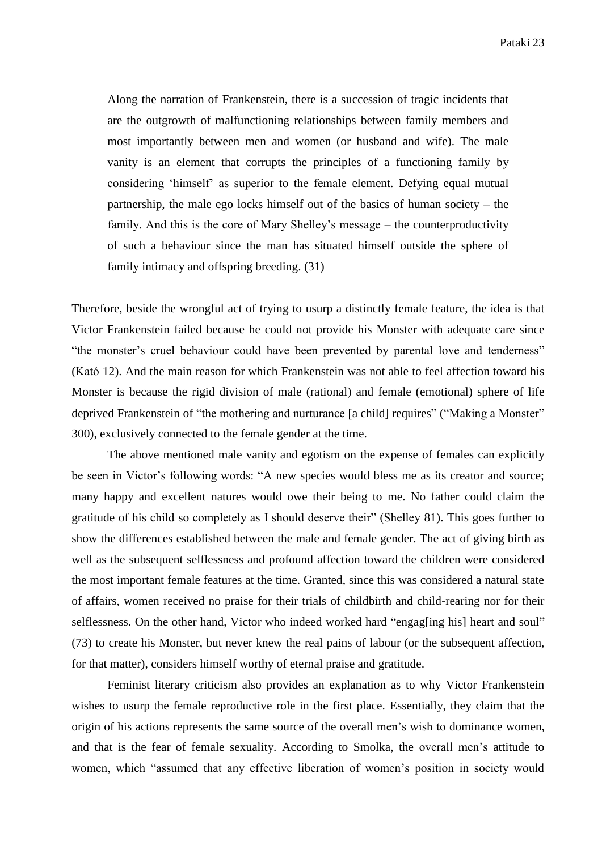Along the narration of Frankenstein, there is a succession of tragic incidents that are the outgrowth of malfunctioning relationships between family members and most importantly between men and women (or husband and wife). The male vanity is an element that corrupts the principles of a functioning family by considering 'himself' as superior to the female element. Defying equal mutual partnership, the male ego locks himself out of the basics of human society – the family. And this is the core of Mary Shelley's message – the counterproductivity of such a behaviour since the man has situated himself outside the sphere of family intimacy and offspring breeding. (31)

Therefore, beside the wrongful act of trying to usurp a distinctly female feature, the idea is that Victor Frankenstein failed because he could not provide his Monster with adequate care since "the monster's cruel behaviour could have been prevented by parental love and tenderness" (Kató 12). And the main reason for which Frankenstein was not able to feel affection toward his Monster is because the rigid division of male (rational) and female (emotional) sphere of life deprived Frankenstein of "the mothering and nurturance [a child] requires" ("Making a Monster" 300), exclusively connected to the female gender at the time.

The above mentioned male vanity and egotism on the expense of females can explicitly be seen in Victor's following words: "A new species would bless me as its creator and source; many happy and excellent natures would owe their being to me. No father could claim the gratitude of his child so completely as I should deserve their" (Shelley 81). This goes further to show the differences established between the male and female gender. The act of giving birth as well as the subsequent selflessness and profound affection toward the children were considered the most important female features at the time. Granted, since this was considered a natural state of affairs, women received no praise for their trials of childbirth and child-rearing nor for their selflessness. On the other hand, Victor who indeed worked hard "engag[ing his] heart and soul" (73) to create his Monster, but never knew the real pains of labour (or the subsequent affection, for that matter), considers himself worthy of eternal praise and gratitude.

Feminist literary criticism also provides an explanation as to why Victor Frankenstein wishes to usurp the female reproductive role in the first place. Essentially, they claim that the origin of his actions represents the same source of the overall men's wish to dominance women, and that is the fear of female sexuality. According to Smolka, the overall men's attitude to women, which "assumed that any effective liberation of women's position in society would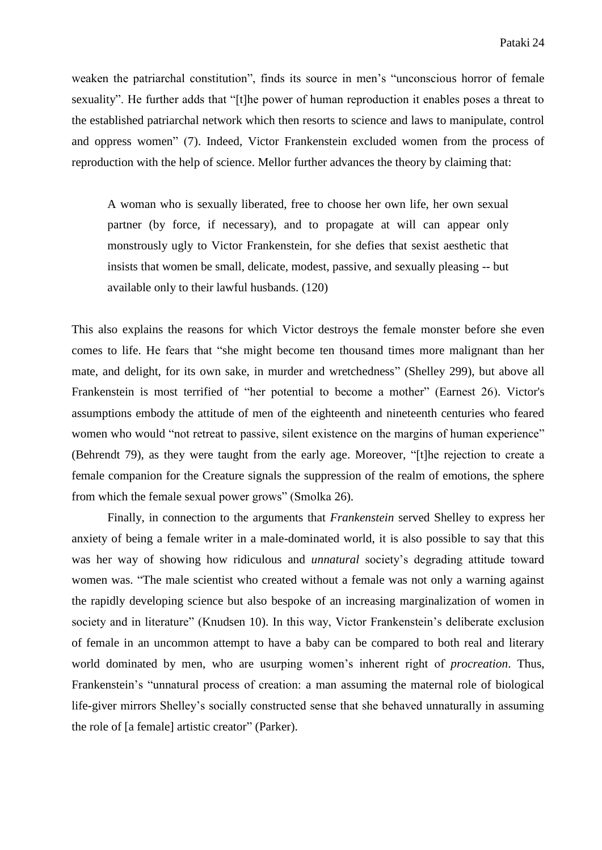weaken the patriarchal constitution", finds its source in men's "unconscious horror of female sexuality". He further adds that "[t]he power of human reproduction it enables poses a threat to the established patriarchal network which then resorts to science and laws to manipulate, control and oppress women" (7). Indeed, Victor Frankenstein excluded women from the process of reproduction with the help of science. Mellor further advances the theory by claiming that:

A woman who is sexually liberated, free to choose her own life, her own sexual partner (by force, if necessary), and to propagate at will can appear only monstrously ugly to Victor Frankenstein, for she defies that sexist aesthetic that insists that women be small, delicate, modest, passive, and sexually pleasing -- but available only to their lawful husbands. (120)

This also explains the reasons for which Victor destroys the female monster before she even comes to life. He fears that "she might become ten thousand times more malignant than her mate, and delight, for its own sake, in murder and wretchedness" (Shelley 299), but above all Frankenstein is most terrified of "her potential to become a mother" (Earnest 26). Victor's assumptions embody the attitude of men of the eighteenth and nineteenth centuries who feared women who would "not retreat to passive, silent existence on the margins of human experience" (Behrendt 79), as they were taught from the early age. Moreover, "[t]he rejection to create a female companion for the Creature signals the suppression of the realm of emotions, the sphere from which the female sexual power grows" (Smolka 26).

Finally, in connection to the arguments that *Frankenstein* served Shelley to express her anxiety of being a female writer in a male-dominated world, it is also possible to say that this was her way of showing how ridiculous and *unnatural* society's degrading attitude toward women was. "The male scientist who created without a female was not only a warning against the rapidly developing science but also bespoke of an increasing marginalization of women in society and in literature" (Knudsen 10). In this way, Victor Frankenstein's deliberate exclusion of female in an uncommon attempt to have a baby can be compared to both real and literary world dominated by men, who are usurping women's inherent right of *procreation*. Thus, Frankenstein's "unnatural process of creation: a man assuming the maternal role of biological life-giver mirrors Shelley's socially constructed sense that she behaved unnaturally in assuming the role of [a female] artistic creator" (Parker).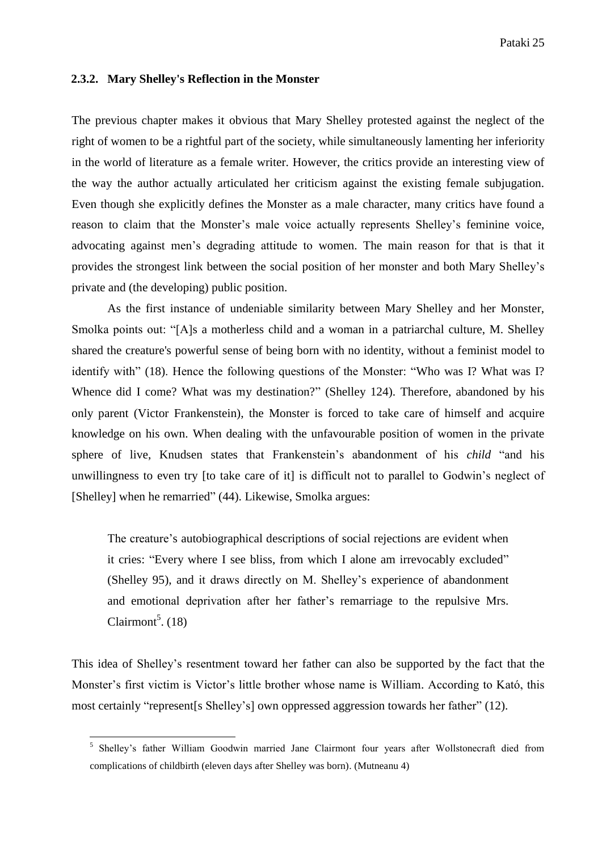#### **2.3.2. Mary Shelley's Reflection in the Monster**

The previous chapter makes it obvious that Mary Shelley protested against the neglect of the right of women to be a rightful part of the society, while simultaneously lamenting her inferiority in the world of literature as a female writer. However, the critics provide an interesting view of the way the author actually articulated her criticism against the existing female subjugation. Even though she explicitly defines the Monster as a male character, many critics have found a reason to claim that the Monster's male voice actually represents Shelley's feminine voice, advocating against men's degrading attitude to women. The main reason for that is that it provides the strongest link between the social position of her monster and both Mary Shelley's private and (the developing) public position.

As the first instance of undeniable similarity between Mary Shelley and her Monster, Smolka points out: "[A]s a motherless child and a woman in a patriarchal culture, M. Shelley shared the creature's powerful sense of being born with no identity, without a feminist model to identify with" (18). Hence the following questions of the Monster: "Who was I? What was I? Whence did I come? What was my destination?" (Shelley 124). Therefore, abandoned by his only parent (Victor Frankenstein), the Monster is forced to take care of himself and acquire knowledge on his own. When dealing with the unfavourable position of women in the private sphere of live, Knudsen states that Frankenstein's abandonment of his *child* "and his unwillingness to even try [to take care of it] is difficult not to parallel to Godwin's neglect of [Shelley] when he remarried" (44). Likewise, Smolka argues:

The creature's autobiographical descriptions of social rejections are evident when it cries: "Every where I see bliss, from which I alone am irrevocably excluded" (Shelley 95), and it draws directly on M. Shelley's experience of abandonment and emotional deprivation after her father's remarriage to the repulsive Mrs. Clairmont $<sup>5</sup>$ . (18)</sup>

This idea of Shelley's resentment toward her father can also be supported by the fact that the Monster's first victim is Victor's little brother whose name is William. According to Kató, this most certainly "represent[s Shelley's] own oppressed aggression towards her father" (12).

<sup>5&</sup>lt;br>
Shelley's father William Goodwin married Jane Clairmont four years after Wollstonecraft died from complications of childbirth (eleven days after Shelley was born). (Mutneanu 4)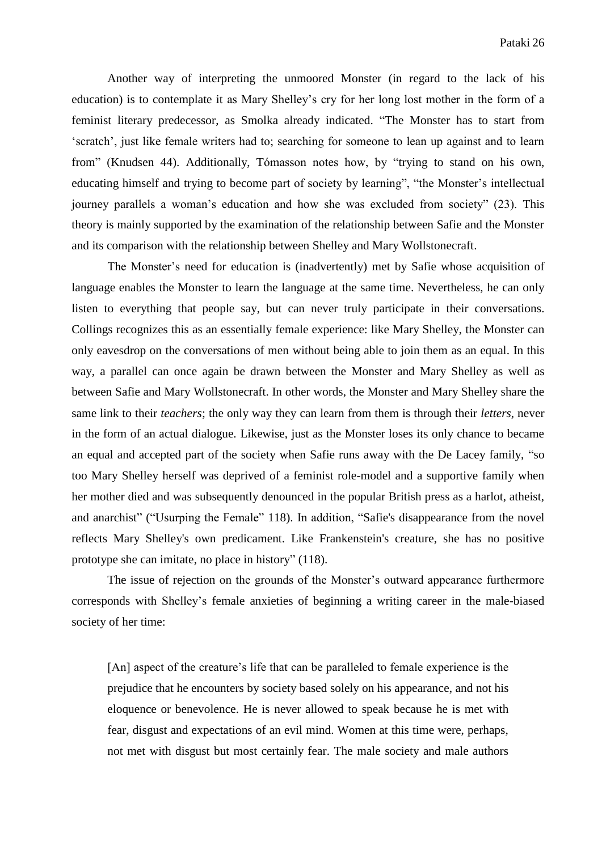Another way of interpreting the unmoored Monster (in regard to the lack of his education) is to contemplate it as Mary Shelley's cry for her long lost mother in the form of a feminist literary predecessor, as Smolka already indicated. "The Monster has to start from 'scratch', just like female writers had to; searching for someone to lean up against and to learn from" (Knudsen 44). Additionally, Tómasson notes how, by "trying to stand on his own, educating himself and trying to become part of society by learning", "the Monster's intellectual journey parallels a woman's education and how she was excluded from society" (23). This theory is mainly supported by the examination of the relationship between Safie and the Monster and its comparison with the relationship between Shelley and Mary Wollstonecraft.

The Monster's need for education is (inadvertently) met by Safie whose acquisition of language enables the Monster to learn the language at the same time. Nevertheless, he can only listen to everything that people say, but can never truly participate in their conversations. Collings recognizes this as an essentially female experience: like Mary Shelley, the Monster can only eavesdrop on the conversations of men without being able to join them as an equal. In this way, a parallel can once again be drawn between the Monster and Mary Shelley as well as between Safie and Mary Wollstonecraft. In other words, the Monster and Mary Shelley share the same link to their *teachers*; the only way they can learn from them is through their *letters*, never in the form of an actual dialogue. Likewise, just as the Monster loses its only chance to became an equal and accepted part of the society when Safie runs away with the De Lacey family, "so too Mary Shelley herself was deprived of a feminist role-model and a supportive family when her mother died and was subsequently denounced in the popular British press as a harlot, atheist, and anarchist" ("Usurping the Female" 118). In addition, "Safie's disappearance from the novel reflects Mary Shelley's own predicament. Like Frankenstein's creature, she has no positive prototype she can imitate, no place in history" (118).

The issue of rejection on the grounds of the Monster's outward appearance furthermore corresponds with Shelley's female anxieties of beginning a writing career in the male-biased society of her time:

[An] aspect of the creature's life that can be paralleled to female experience is the prejudice that he encounters by society based solely on his appearance, and not his eloquence or benevolence. He is never allowed to speak because he is met with fear, disgust and expectations of an evil mind. Women at this time were, perhaps, not met with disgust but most certainly fear. The male society and male authors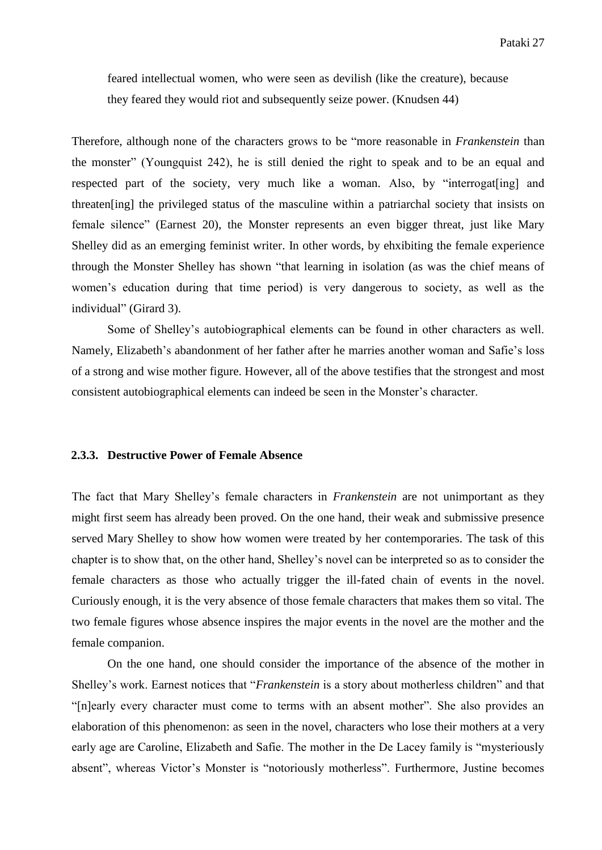feared intellectual women, who were seen as devilish (like the creature), because they feared they would riot and subsequently seize power. (Knudsen 44)

Therefore, although none of the characters grows to be "more reasonable in *Frankenstein* than the monster" (Youngquist 242), he is still denied the right to speak and to be an equal and respected part of the society, very much like a woman. Also, by "interrogat[ing] and threaten[ing] the privileged status of the masculine within a patriarchal society that insists on female silence" (Earnest 20), the Monster represents an even bigger threat, just like Mary Shelley did as an emerging feminist writer. In other words, by ehxibiting the female experience through the Monster Shelley has shown "that learning in isolation (as was the chief means of women's education during that time period) is very dangerous to society, as well as the individual" (Girard 3).

Some of Shelley's autobiographical elements can be found in other characters as well. Namely, Elizabeth's abandonment of her father after he marries another woman and Safie's loss of a strong and wise mother figure. However, all of the above testifies that the strongest and most consistent autobiographical elements can indeed be seen in the Monster's character.

#### **2.3.3. Destructive Power of Female Absence**

The fact that Mary Shelley's female characters in *Frankenstein* are not unimportant as they might first seem has already been proved. On the one hand, their weak and submissive presence served Mary Shelley to show how women were treated by her contemporaries. The task of this chapter is to show that, on the other hand, Shelley's novel can be interpreted so as to consider the female characters as those who actually trigger the ill-fated chain of events in the novel. Curiously enough, it is the very absence of those female characters that makes them so vital. The two female figures whose absence inspires the major events in the novel are the mother and the female companion.

On the one hand, one should consider the importance of the absence of the mother in Shelley's work. Earnest notices that "*Frankenstein* is a story about motherless children" and that "[n]early every character must come to terms with an absent mother". She also provides an elaboration of this phenomenon: as seen in the novel, characters who lose their mothers at a very early age are Caroline, Elizabeth and Safie. The mother in the De Lacey family is "mysteriously absent", whereas Victor's Monster is "notoriously motherless". Furthermore, Justine becomes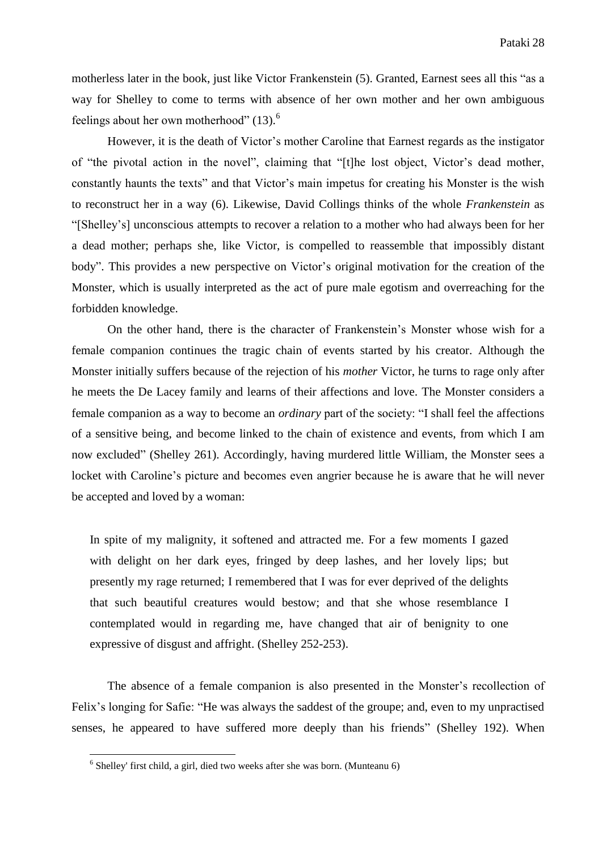motherless later in the book, just like Victor Frankenstein (5). Granted, Earnest sees all this "as a way for Shelley to come to terms with absence of her own mother and her own ambiguous feelings about her own motherhood" (13).<sup>6</sup>

However, it is the death of Victor's mother Caroline that Earnest regards as the instigator of "the pivotal action in the novel", claiming that "[t]he lost object, Victor's dead mother, constantly haunts the texts" and that Victor's main impetus for creating his Monster is the wish to reconstruct her in a way (6). Likewise, David Collings thinks of the whole *Frankenstein* as "[Shelley's] unconscious attempts to recover a relation to a mother who had always been for her a dead mother; perhaps she, like Victor, is compelled to reassemble that impossibly distant body". This provides a new perspective on Victor's original motivation for the creation of the Monster, which is usually interpreted as the act of pure male egotism and overreaching for the forbidden knowledge.

On the other hand, there is the character of Frankenstein's Monster whose wish for a female companion continues the tragic chain of events started by his creator. Although the Monster initially suffers because of the rejection of his *mother* Victor, he turns to rage only after he meets the De Lacey family and learns of their affections and love. The Monster considers a female companion as a way to become an *ordinary* part of the society: "I shall feel the affections of a sensitive being, and become linked to the chain of existence and events, from which I am now excluded" (Shelley 261). Accordingly, having murdered little William, the Monster sees a locket with Caroline's picture and becomes even angrier because he is aware that he will never be accepted and loved by a woman:

In spite of my malignity, it softened and attracted me. For a few moments I gazed with delight on her dark eyes, fringed by deep lashes, and her lovely lips; but presently my rage returned; I remembered that I was for ever deprived of the delights that such beautiful creatures would bestow; and that she whose resemblance I contemplated would in regarding me, have changed that air of benignity to one expressive of disgust and affright. (Shelley 252-253).

The absence of a female companion is also presented in the Monster's recollection of Felix's longing for Safie: "He was always the saddest of the groupe; and, even to my unpractised senses, he appeared to have suffered more deeply than his friends" (Shelley 192). When

 6 Shelley' first child, a girl, died two weeks after she was born. (Munteanu 6)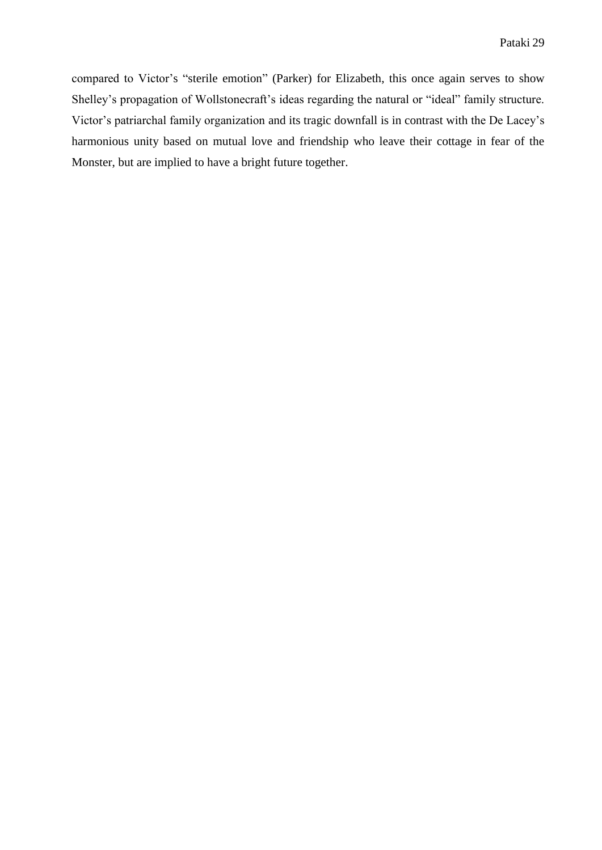compared to Victor's "sterile emotion" (Parker) for Elizabeth, this once again serves to show Shelley's propagation of Wollstonecraft's ideas regarding the natural or "ideal" family structure. Victor's patriarchal family organization and its tragic downfall is in contrast with the De Lacey's harmonious unity based on mutual love and friendship who leave their cottage in fear of the Monster, but are implied to have a bright future together.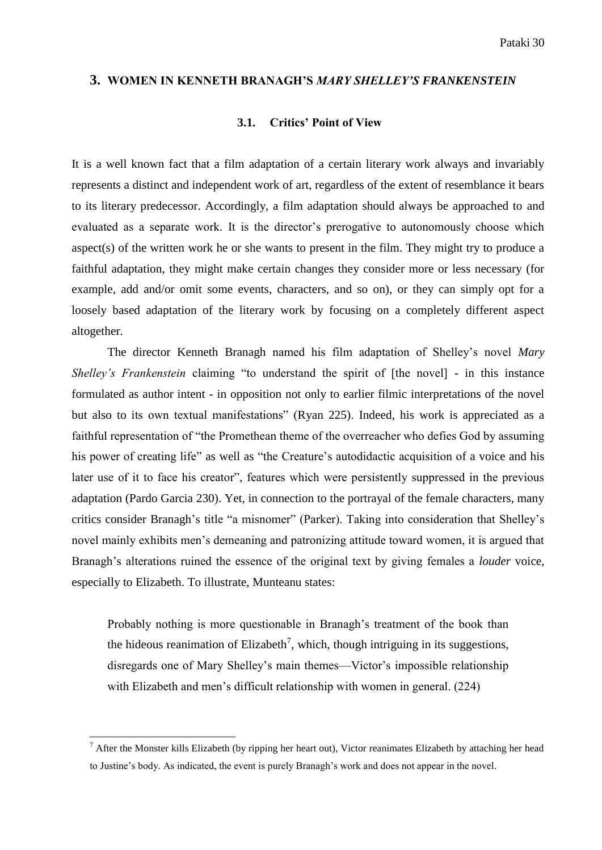#### **3. WOMEN IN KENNETH BRANAGH'S** *MARY SHELLEY'S FRANKENSTEIN*

#### **3.1. Critics' Point of View**

It is a well known fact that a film adaptation of a certain literary work always and invariably represents a distinct and independent work of art, regardless of the extent of resemblance it bears to its literary predecessor. Accordingly, a film adaptation should always be approached to and evaluated as a separate work. It is the director's prerogative to autonomously choose which aspect(s) of the written work he or she wants to present in the film. They might try to produce a faithful adaptation, they might make certain changes they consider more or less necessary (for example, add and/or omit some events, characters, and so on), or they can simply opt for a loosely based adaptation of the literary work by focusing on a completely different aspect altogether.

The director Kenneth Branagh named his film adaptation of Shelley's novel *Mary Shelley's Frankenstein* claiming "to understand the spirit of [the novel] - in this instance formulated as author intent - in opposition not only to earlier filmic interpretations of the novel but also to its own textual manifestations" (Ryan 225). Indeed, his work is appreciated as a faithful representation of "the Promethean theme of the overreacher who defies God by assuming his power of creating life" as well as "the Creature's autodidactic acquisition of a voice and his later use of it to face his creator", features which were persistently suppressed in the previous adaptation (Pardo Garcia 230). Yet, in connection to the portrayal of the female characters, many critics consider Branagh's title "a misnomer" (Parker). Taking into consideration that Shelley's novel mainly exhibits men's demeaning and patronizing attitude toward women, it is argued that Branagh's alterations ruined the essence of the original text by giving females a *louder* voice, especially to Elizabeth. To illustrate, Munteanu states:

Probably nothing is more questionable in Branagh's treatment of the book than the hideous reanimation of Elizabeth<sup>7</sup>, which, though intriguing in its suggestions, disregards one of Mary Shelley's main themes—Victor's impossible relationship with Elizabeth and men's difficult relationship with women in general. (224)

1

 $<sup>7</sup>$  After the Monster kills Elizabeth (by ripping her heart out), Victor reanimates Elizabeth by attaching her head</sup> to Justine's body. As indicated, the event is purely Branagh's work and does not appear in the novel.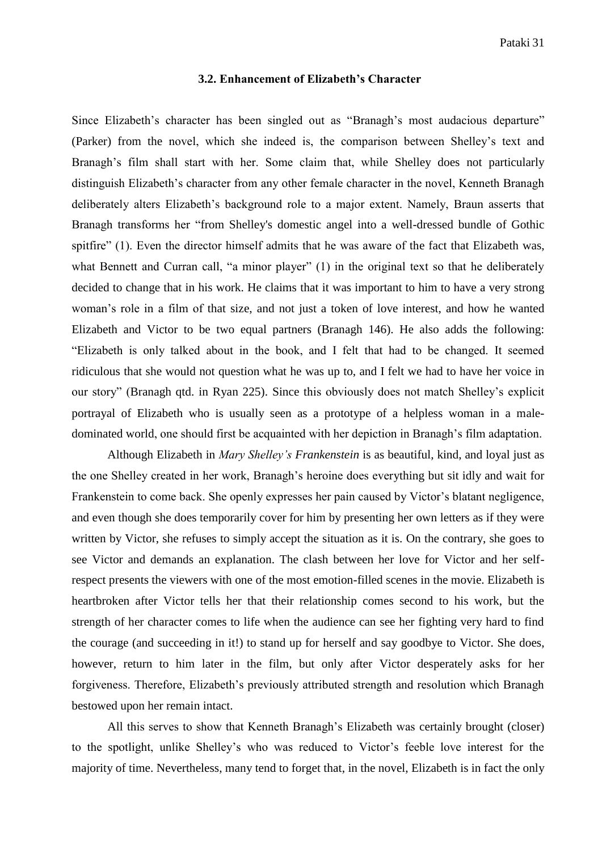#### **3.2. Enhancement of Elizabeth's Character**

Since Elizabeth's character has been singled out as "Branagh's most audacious departure" (Parker) from the novel, which she indeed is, the comparison between Shelley's text and Branagh's film shall start with her. Some claim that, while Shelley does not particularly distinguish Elizabeth's character from any other female character in the novel, Kenneth Branagh deliberately alters Elizabeth's background role to a major extent. Namely, Braun asserts that Branagh transforms her "from Shelley's domestic angel into a well-dressed bundle of Gothic spitfire" (1). Even the director himself admits that he was aware of the fact that Elizabeth was, what Bennett and Curran call, "a minor player" (1) in the original text so that he deliberately decided to change that in his work. He claims that it was important to him to have a very strong woman's role in a film of that size, and not just a token of love interest, and how he wanted Elizabeth and Victor to be two equal partners (Branagh 146). He also adds the following: "Elizabeth is only talked about in the book, and I felt that had to be changed. It seemed ridiculous that she would not question what he was up to, and I felt we had to have her voice in our story" (Branagh qtd. in Ryan 225). Since this obviously does not match Shelley's explicit portrayal of Elizabeth who is usually seen as a prototype of a helpless woman in a maledominated world, one should first be acquainted with her depiction in Branagh's film adaptation.

Although Elizabeth in *Mary Shelley's Frankenstein* is as beautiful, kind, and loyal just as the one Shelley created in her work, Branagh's heroine does everything but sit idly and wait for Frankenstein to come back. She openly expresses her pain caused by Victor's blatant negligence, and even though she does temporarily cover for him by presenting her own letters as if they were written by Victor, she refuses to simply accept the situation as it is. On the contrary, she goes to see Victor and demands an explanation. The clash between her love for Victor and her selfrespect presents the viewers with one of the most emotion-filled scenes in the movie. Elizabeth is heartbroken after Victor tells her that their relationship comes second to his work, but the strength of her character comes to life when the audience can see her fighting very hard to find the courage (and succeeding in it!) to stand up for herself and say goodbye to Victor. She does, however, return to him later in the film, but only after Victor desperately asks for her forgiveness. Therefore, Elizabeth's previously attributed strength and resolution which Branagh bestowed upon her remain intact.

All this serves to show that Kenneth Branagh's Elizabeth was certainly brought (closer) to the spotlight, unlike Shelley's who was reduced to Victor's feeble love interest for the majority of time. Nevertheless, many tend to forget that, in the novel, Elizabeth is in fact the only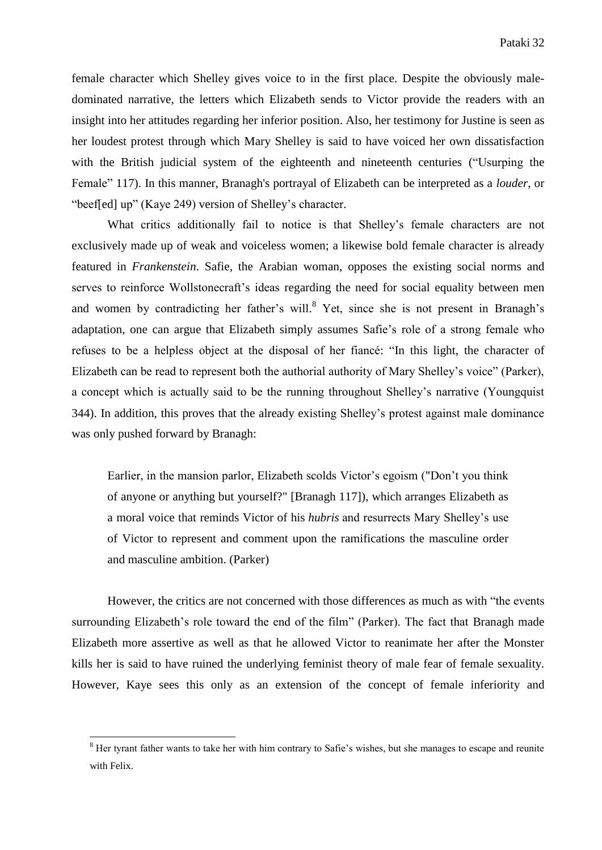female character which Shelley gives voice to in the first place. Despite the obviously maledominated narrative, the letters which Elizabeth sends to Victor provide the readers with an insight into her attitudes regarding her inferior position. Also, her testimony for Justine is seen as her loudest protest through which Mary Shelley is said to have voiced her own dissatisfaction with the British judicial system of the eighteenth and nineteenth centuries ("Usurping the Female" 117). In this manner, Branagh's portrayal of Elizabeth can be interpreted as a *louder*, or "beef[ed] up" (Kaye 249) version of Shelley's character.

What critics additionally fail to notice is that Shelley's female characters are not exclusively made up of weak and voiceless women; a likewise bold female character is already featured in *Frankenstein*. Safie, the Arabian woman, opposes the existing social norms and serves to reinforce Wollstonecraft's ideas regarding the need for social equality between men and women by contradicting her father's will. <sup>8</sup> Yet, since she is not present in Branagh's adaptation, one can argue that Elizabeth simply assumes Safie's role of a strong female who refuses to be a helpless object at the disposal of her fiancé: "In this light, the character of Elizabeth can be read to represent both the authorial authority of Mary Shelley's voice" (Parker), a concept which is actually said to be the running throughout Shelley's narrative (Youngquist 344). In addition, this proves that the already existing Shelley's protest against male dominance was only pushed forward by Branagh:

Earlier, in the mansion parlor, Elizabeth scolds Victor's egoism ("Don't you think of anyone or anything but yourself?" [Branagh 117]), which arranges Elizabeth as a moral voice that reminds Victor of his *hubris* and resurrects Mary Shelley's use of Victor to represent and comment upon the ramifications the masculine order and masculine ambition. (Parker)

However, the critics are not concerned with those differences as much as with "the events surrounding Elizabeth's role toward the end of the film" (Parker). The fact that Branagh made Elizabeth more assertive as well as that he allowed Victor to reanimate her after the Monster kills her is said to have ruined the underlying feminist theory of male fear of female sexuality. However, Kaye sees this only as an extension of the concept of female inferiority and

1

<sup>&</sup>lt;sup>8</sup> Her tyrant father wants to take her with him contrary to Safie's wishes, but she manages to escape and reunite with Felix.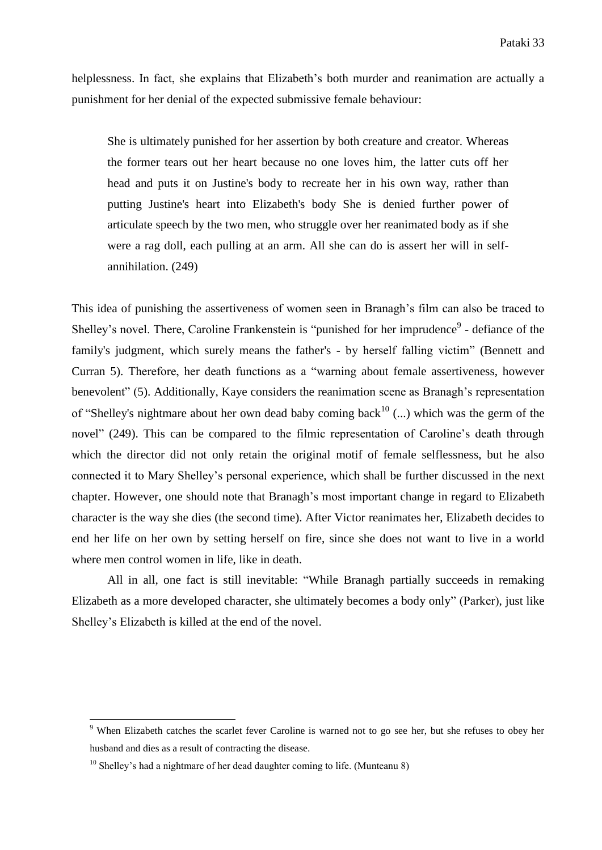helplessness. In fact, she explains that Elizabeth's both murder and reanimation are actually a punishment for her denial of the expected submissive female behaviour:

She is ultimately punished for her assertion by both creature and creator. Whereas the former tears out her heart because no one loves him, the latter cuts off her head and puts it on Justine's body to recreate her in his own way, rather than putting Justine's heart into Elizabeth's body She is denied further power of articulate speech by the two men, who struggle over her reanimated body as if she were a rag doll, each pulling at an arm. All she can do is assert her will in selfannihilation. (249)

This idea of punishing the assertiveness of women seen in Branagh's film can also be traced to Shelley's novel. There, Caroline Frankenstein is "punished for her imprudence<sup>9</sup> - defiance of the family's judgment, which surely means the father's - by herself falling victim" (Bennett and Curran 5). Therefore, her death functions as a "warning about female assertiveness, however benevolent" (5). Additionally, Kaye considers the reanimation scene as Branagh's representation of "Shelley's nightmare about her own dead baby coming back<sup>10</sup> (...) which was the germ of the novel" (249). This can be compared to the filmic representation of Caroline's death through which the director did not only retain the original motif of female selflessness, but he also connected it to Mary Shelley's personal experience, which shall be further discussed in the next chapter. However, one should note that Branagh's most important change in regard to Elizabeth character is the way she dies (the second time). After Victor reanimates her, Elizabeth decides to end her life on her own by setting herself on fire, since she does not want to live in a world where men control women in life, like in death.

All in all, one fact is still inevitable: "While Branagh partially succeeds in remaking Elizabeth as a more developed character, she ultimately becomes a body only" (Parker), just like Shelley's Elizabeth is killed at the end of the novel.

**.** 

<sup>&</sup>lt;sup>9</sup> When Elizabeth catches the scarlet fever Caroline is warned not to go see her, but she refuses to obey her husband and dies as a result of contracting the disease.

 $10$  Shellev's had a nightmare of her dead daughter coming to life. (Munteanu 8)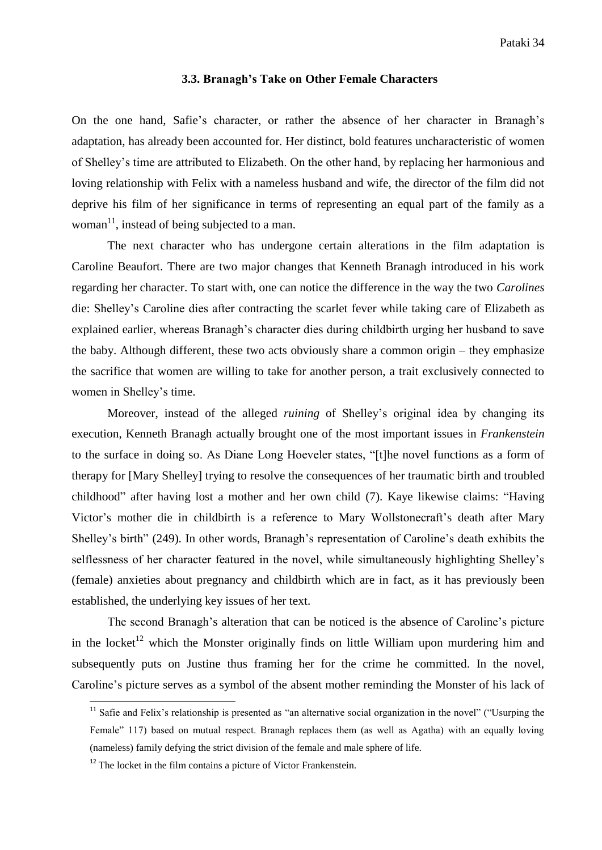#### **3.3. Branagh's Take on Other Female Characters**

On the one hand, Safie's character, or rather the absence of her character in Branagh's adaptation, has already been accounted for. Her distinct, bold features uncharacteristic of women of Shelley's time are attributed to Elizabeth. On the other hand, by replacing her harmonious and loving relationship with Felix with a nameless husband and wife, the director of the film did not deprive his film of her significance in terms of representing an equal part of the family as a woman $\frac{11}{11}$ , instead of being subjected to a man.

The next character who has undergone certain alterations in the film adaptation is Caroline Beaufort. There are two major changes that Kenneth Branagh introduced in his work regarding her character. To start with, one can notice the difference in the way the two *Carolines* die: Shelley's Caroline dies after contracting the scarlet fever while taking care of Elizabeth as explained earlier, whereas Branagh's character dies during childbirth urging her husband to save the baby. Although different, these two acts obviously share a common origin – they emphasize the sacrifice that women are willing to take for another person, a trait exclusively connected to women in Shelley's time.

Moreover, instead of the alleged *ruining* of Shelley's original idea by changing its execution, Kenneth Branagh actually brought one of the most important issues in *Frankenstein* to the surface in doing so. As Diane Long Hoeveler states, "[t]he novel functions as a form of therapy for [Mary Shelley] trying to resolve the consequences of her traumatic birth and troubled childhood" after having lost a mother and her own child (7). Kaye likewise claims: "Having Victor's mother die in childbirth is a reference to Mary Wollstonecraft's death after Mary Shelley's birth" (249). In other words, Branagh's representation of Caroline's death exhibits the selflessness of her character featured in the novel, while simultaneously highlighting Shelley's (female) anxieties about pregnancy and childbirth which are in fact, as it has previously been established, the underlying key issues of her text.

The second Branagh's alteration that can be noticed is the absence of Caroline's picture in the locket<sup>12</sup> which the Monster originally finds on little William upon murdering him and subsequently puts on Justine thus framing her for the crime he committed. In the novel, Caroline's picture serves as a symbol of the absent mother reminding the Monster of his lack of

**.** 

 $11$  Safie and Felix's relationship is presented as "an alternative social organization in the novel" ("Usurping the Female" 117) based on mutual respect. Branagh replaces them (as well as Agatha) with an equally loving (nameless) family defying the strict division of the female and male sphere of life.

 $12$ <sup>12</sup> The locket in the film contains a picture of Victor Frankenstein.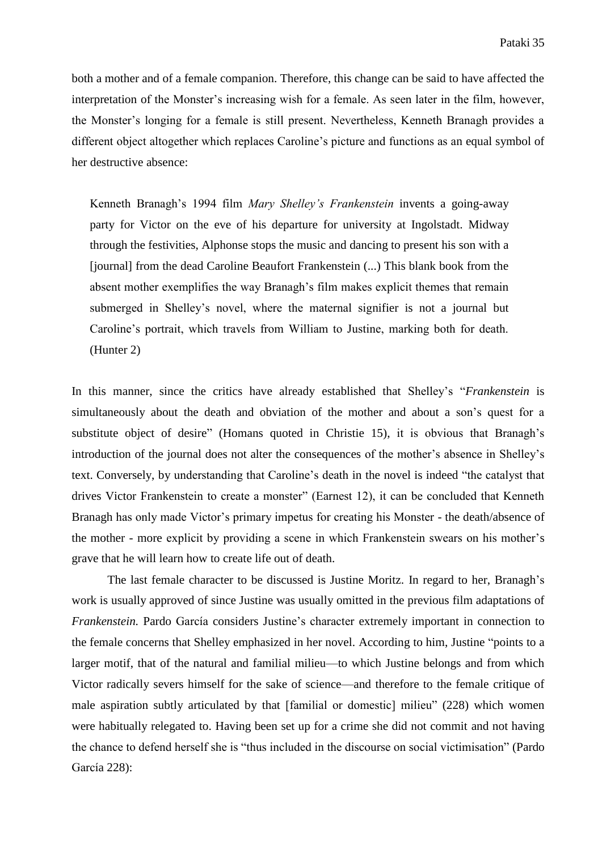both a mother and of a female companion. Therefore, this change can be said to have affected the interpretation of the Monster's increasing wish for a female. As seen later in the film, however, the Monster's longing for a female is still present. Nevertheless, Kenneth Branagh provides a different object altogether which replaces Caroline's picture and functions as an equal symbol of her destructive absence:

Kenneth Branagh's 1994 film *Mary Shelley's Frankenstein* invents a going-away party for Victor on the eve of his departure for university at Ingolstadt. Midway through the festivities, Alphonse stops the music and dancing to present his son with a [journal] from the dead Caroline Beaufort Frankenstein (...) This blank book from the absent mother exemplifies the way Branagh's film makes explicit themes that remain submerged in Shelley's novel, where the maternal signifier is not a journal but Caroline's portrait, which travels from William to Justine, marking both for death. (Hunter 2)

In this manner, since the critics have already established that Shelley's "*Frankenstein* is simultaneously about the death and obviation of the mother and about a son's quest for a substitute object of desire" (Homans quoted in Christie 15), it is obvious that Branagh's introduction of the journal does not alter the consequences of the mother's absence in Shelley's text. Conversely, by understanding that Caroline's death in the novel is indeed "the catalyst that drives Victor Frankenstein to create a monster" (Earnest 12), it can be concluded that Kenneth Branagh has only made Victor's primary impetus for creating his Monster - the death/absence of the mother - more explicit by providing a scene in which Frankenstein swears on his mother's grave that he will learn how to create life out of death.

The last female character to be discussed is Justine Moritz. In regard to her, Branagh's work is usually approved of since Justine was usually omitted in the previous film adaptations of *Frankenstein.* Pardo García considers Justine's character extremely important in connection to the female concerns that Shelley emphasized in her novel. According to him, Justine "points to a larger motif, that of the natural and familial milieu—to which Justine belongs and from which Victor radically severs himself for the sake of science—and therefore to the female critique of male aspiration subtly articulated by that [familial or domestic] milieu" (228) which women were habitually relegated to. Having been set up for a crime she did not commit and not having the chance to defend herself she is "thus included in the discourse on social victimisation" (Pardo García 228):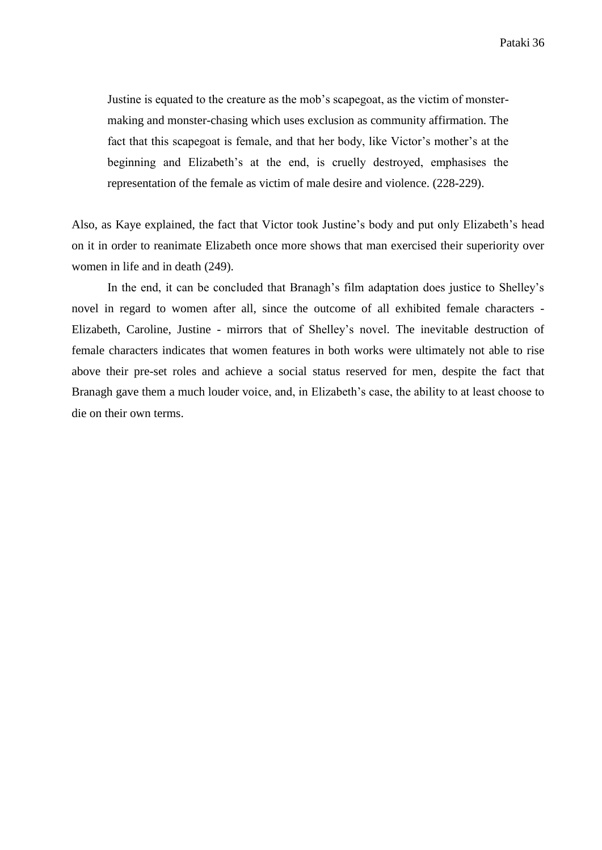Justine is equated to the creature as the mob's scapegoat, as the victim of monstermaking and monster-chasing which uses exclusion as community affirmation. The fact that this scapegoat is female, and that her body, like Victor's mother's at the beginning and Elizabeth's at the end, is cruelly destroyed, emphasises the representation of the female as victim of male desire and violence. (228-229).

Also, as Kaye explained, the fact that Victor took Justine's body and put only Elizabeth's head on it in order to reanimate Elizabeth once more shows that man exercised their superiority over women in life and in death (249).

In the end, it can be concluded that Branagh's film adaptation does justice to Shelley's novel in regard to women after all, since the outcome of all exhibited female characters - Elizabeth, Caroline, Justine - mirrors that of Shelley's novel. The inevitable destruction of female characters indicates that women features in both works were ultimately not able to rise above their pre-set roles and achieve a social status reserved for men, despite the fact that Branagh gave them a much louder voice, and, in Elizabeth's case, the ability to at least choose to die on their own terms.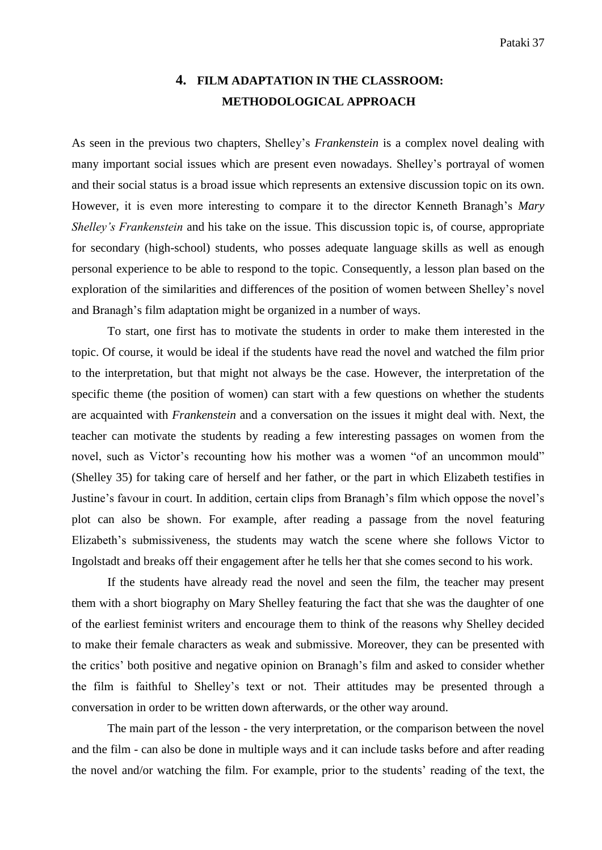## **4. FILM ADAPTATION IN THE CLASSROOM: METHODOLOGICAL APPROACH**

As seen in the previous two chapters, Shelley's *Frankenstein* is a complex novel dealing with many important social issues which are present even nowadays. Shelley's portrayal of women and their social status is a broad issue which represents an extensive discussion topic on its own. However, it is even more interesting to compare it to the director Kenneth Branagh's *Mary Shelley's Frankenstein* and his take on the issue. This discussion topic is, of course, appropriate for secondary (high-school) students, who posses adequate language skills as well as enough personal experience to be able to respond to the topic. Consequently, a lesson plan based on the exploration of the similarities and differences of the position of women between Shelley's novel and Branagh's film adaptation might be organized in a number of ways.

To start, one first has to motivate the students in order to make them interested in the topic. Of course, it would be ideal if the students have read the novel and watched the film prior to the interpretation, but that might not always be the case. However, the interpretation of the specific theme (the position of women) can start with a few questions on whether the students are acquainted with *Frankenstein* and a conversation on the issues it might deal with. Next, the teacher can motivate the students by reading a few interesting passages on women from the novel, such as Victor's recounting how his mother was a women "of an uncommon mould" (Shelley 35) for taking care of herself and her father, or the part in which Elizabeth testifies in Justine's favour in court. In addition, certain clips from Branagh's film which oppose the novel's plot can also be shown. For example, after reading a passage from the novel featuring Elizabeth's submissiveness, the students may watch the scene where she follows Victor to Ingolstadt and breaks off their engagement after he tells her that she comes second to his work.

If the students have already read the novel and seen the film, the teacher may present them with a short biography on Mary Shelley featuring the fact that she was the daughter of one of the earliest feminist writers and encourage them to think of the reasons why Shelley decided to make their female characters as weak and submissive. Moreover, they can be presented with the critics' both positive and negative opinion on Branagh's film and asked to consider whether the film is faithful to Shelley's text or not. Their attitudes may be presented through a conversation in order to be written down afterwards, or the other way around.

The main part of the lesson - the very interpretation, or the comparison between the novel and the film - can also be done in multiple ways and it can include tasks before and after reading the novel and/or watching the film. For example, prior to the students' reading of the text, the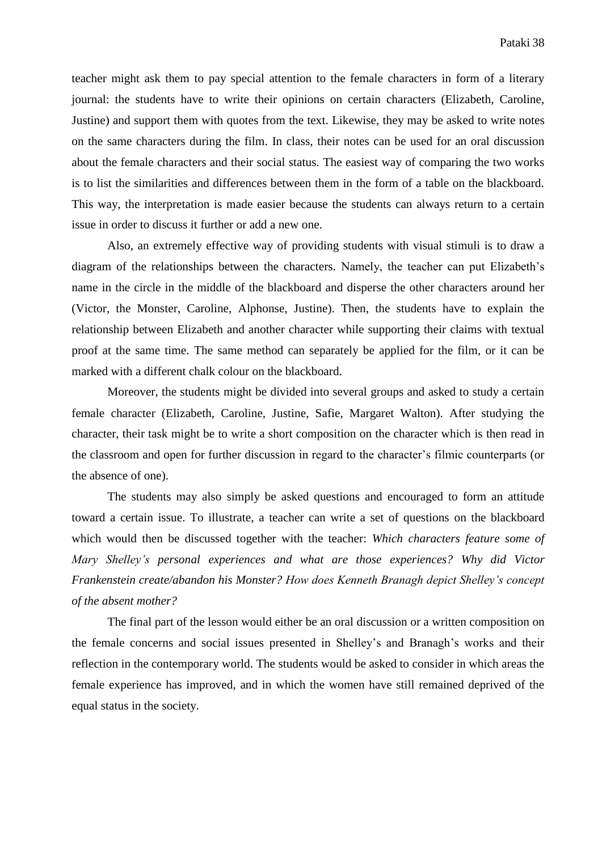teacher might ask them to pay special attention to the female characters in form of a literary journal: the students have to write their opinions on certain characters (Elizabeth, Caroline, Justine) and support them with quotes from the text. Likewise, they may be asked to write notes on the same characters during the film. In class, their notes can be used for an oral discussion about the female characters and their social status. The easiest way of comparing the two works is to list the similarities and differences between them in the form of a table on the blackboard. This way, the interpretation is made easier because the students can always return to a certain issue in order to discuss it further or add a new one.

Also, an extremely effective way of providing students with visual stimuli is to draw a diagram of the relationships between the characters. Namely, the teacher can put Elizabeth's name in the circle in the middle of the blackboard and disperse the other characters around her (Victor, the Monster, Caroline, Alphonse, Justine). Then, the students have to explain the relationship between Elizabeth and another character while supporting their claims with textual proof at the same time. The same method can separately be applied for the film, or it can be marked with a different chalk colour on the blackboard.

Moreover, the students might be divided into several groups and asked to study a certain female character (Elizabeth, Caroline, Justine, Safie, Margaret Walton). After studying the character, their task might be to write a short composition on the character which is then read in the classroom and open for further discussion in regard to the character's filmic counterparts (or the absence of one).

The students may also simply be asked questions and encouraged to form an attitude toward a certain issue. To illustrate, a teacher can write a set of questions on the blackboard which would then be discussed together with the teacher: *Which characters feature some of Mary Shelley's personal experiences and what are those experiences? Why did Victor Frankenstein create/abandon his Monster? How does Kenneth Branagh depict Shelley's concept of the absent mother?*

The final part of the lesson would either be an oral discussion or a written composition on the female concerns and social issues presented in Shelley's and Branagh's works and their reflection in the contemporary world. The students would be asked to consider in which areas the female experience has improved, and in which the women have still remained deprived of the equal status in the society.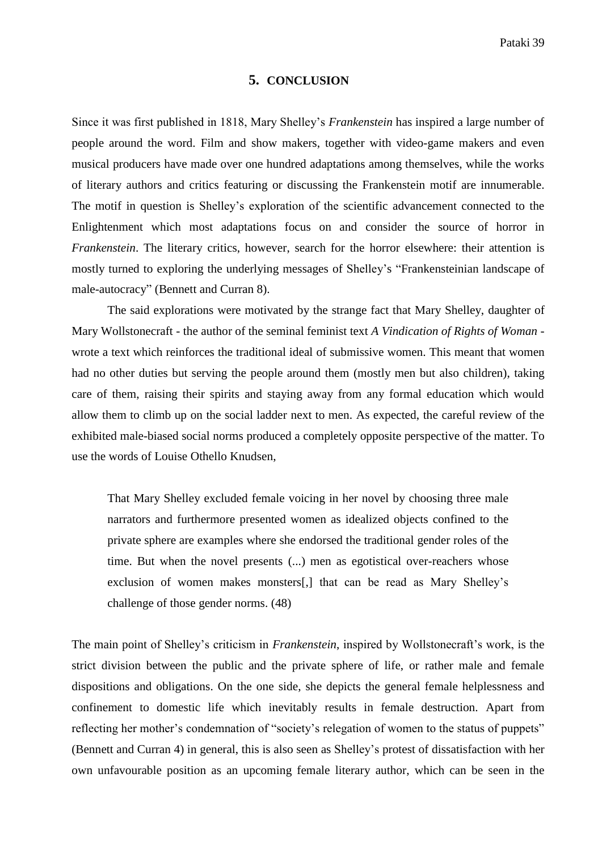#### **5. CONCLUSION**

Since it was first published in 1818, Mary Shelley's *Frankenstein* has inspired a large number of people around the word. Film and show makers, together with video-game makers and even musical producers have made over one hundred adaptations among themselves, while the works of literary authors and critics featuring or discussing the Frankenstein motif are innumerable. The motif in question is Shelley's exploration of the scientific advancement connected to the Enlightenment which most adaptations focus on and consider the source of horror in *Frankenstein*. The literary critics, however, search for the horror elsewhere: their attention is mostly turned to exploring the underlying messages of Shelley's "Frankensteinian landscape of male-autocracy" (Bennett and Curran 8).

The said explorations were motivated by the strange fact that Mary Shelley, daughter of Mary Wollstonecraft - the author of the seminal feminist text *A Vindication of Rights of Woman* wrote a text which reinforces the traditional ideal of submissive women. This meant that women had no other duties but serving the people around them (mostly men but also children), taking care of them, raising their spirits and staying away from any formal education which would allow them to climb up on the social ladder next to men. As expected, the careful review of the exhibited male-biased social norms produced a completely opposite perspective of the matter. To use the words of Louise Othello Knudsen,

That Mary Shelley excluded female voicing in her novel by choosing three male narrators and furthermore presented women as idealized objects confined to the private sphere are examples where she endorsed the traditional gender roles of the time. But when the novel presents (...) men as egotistical over-reachers whose exclusion of women makes monsters[,] that can be read as Mary Shelley's challenge of those gender norms. (48)

The main point of Shelley's criticism in *Frankenstein*, inspired by Wollstonecraft's work, is the strict division between the public and the private sphere of life, or rather male and female dispositions and obligations. On the one side, she depicts the general female helplessness and confinement to domestic life which inevitably results in female destruction. Apart from reflecting her mother's condemnation of "society's relegation of women to the status of puppets" (Bennett and Curran 4) in general, this is also seen as Shelley's protest of dissatisfaction with her own unfavourable position as an upcoming female literary author, which can be seen in the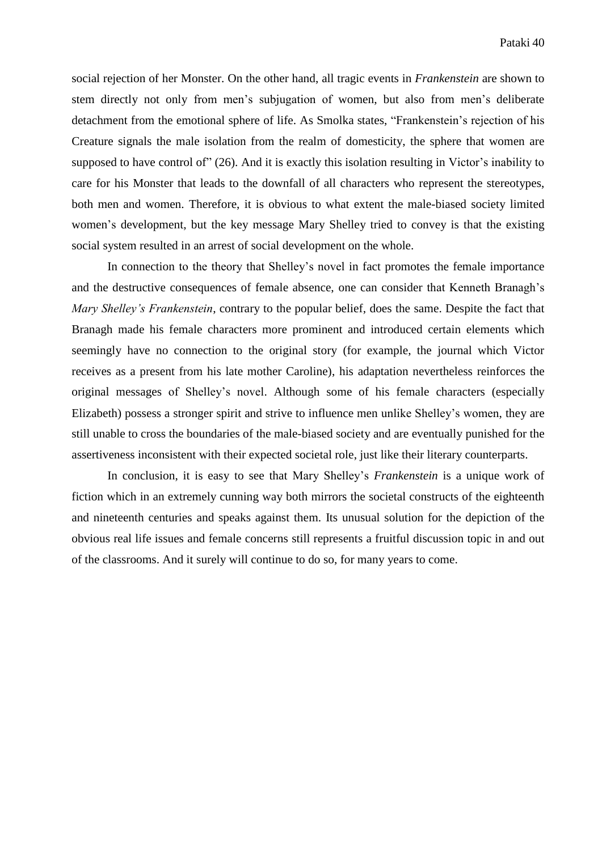social rejection of her Monster. On the other hand, all tragic events in *Frankenstein* are shown to stem directly not only from men's subjugation of women, but also from men's deliberate detachment from the emotional sphere of life. As Smolka states, "Frankenstein's rejection of his Creature signals the male isolation from the realm of domesticity, the sphere that women are supposed to have control of" (26). And it is exactly this isolation resulting in Victor's inability to care for his Monster that leads to the downfall of all characters who represent the stereotypes, both men and women. Therefore, it is obvious to what extent the male-biased society limited women's development, but the key message Mary Shelley tried to convey is that the existing social system resulted in an arrest of social development on the whole.

In connection to the theory that Shelley's novel in fact promotes the female importance and the destructive consequences of female absence, one can consider that Kenneth Branagh's *Mary Shelley's Frankenstein*, contrary to the popular belief, does the same. Despite the fact that Branagh made his female characters more prominent and introduced certain elements which seemingly have no connection to the original story (for example, the journal which Victor receives as a present from his late mother Caroline), his adaptation nevertheless reinforces the original messages of Shelley's novel. Although some of his female characters (especially Elizabeth) possess a stronger spirit and strive to influence men unlike Shelley's women, they are still unable to cross the boundaries of the male-biased society and are eventually punished for the assertiveness inconsistent with their expected societal role, just like their literary counterparts.

In conclusion, it is easy to see that Mary Shelley's *Frankenstein* is a unique work of fiction which in an extremely cunning way both mirrors the societal constructs of the eighteenth and nineteenth centuries and speaks against them. Its unusual solution for the depiction of the obvious real life issues and female concerns still represents a fruitful discussion topic in and out of the classrooms. And it surely will continue to do so, for many years to come.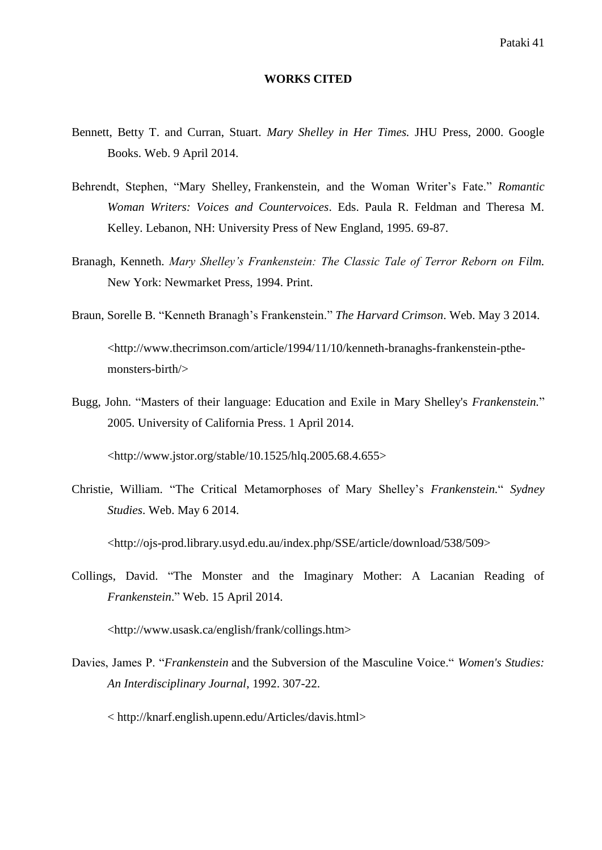#### **WORKS CITED**

- Bennett, Betty T. and Curran, Stuart. *Mary Shelley in Her Times.* JHU Press, 2000. Google Books. Web. 9 April 2014.
- Behrendt, Stephen, "Mary Shelley, Frankenstein, and the Woman Writer's Fate." *Romantic Woman Writers: Voices and Countervoices*. Eds. Paula R. Feldman and Theresa M. Kelley. Lebanon, NH: University Press of New England, 1995. 69-87.
- Branagh, Kenneth. *Mary Shelley's Frankenstein: The Classic Tale of Terror Reborn on Film.*  New York: Newmarket Press, 1994. Print.
- Braun, Sorelle B. "Kenneth Branagh's Frankenstein." *The Harvard Crimson*. Web. May 3 2014. <http://www.thecrimson.com/article/1994/11/10/kenneth-branaghs-frankenstein-pthemonsters-birth/>
- Bugg, John. "Masters of their language: Education and Exile in Mary Shelley's *Frankenstein.*" 2005. University of California Press. 1 April 2014.

 $\langle$ http://www.jstor.org/stable/10.1525/hlq.2005.68.4.655>

Christie, William. "The Critical Metamorphoses of Mary Shelley's *Frankenstein.*" *Sydney Studies*. Web. May 6 2014.

<http://ojs-prod.library.usyd.edu.au/index.php/SSE/article/download/538/509>

Collings, David. "The Monster and the Imaginary Mother: A Lacanian Reading of *Frankenstein*." Web. 15 April 2014.

<http://www.usask.ca/english/frank/collings.htm>

Davies, James P. "*Frankenstein* and the Subversion of the Masculine Voice." *Women's Studies: An Interdisciplinary Journal*, 1992. 307-22.

< http://knarf.english.upenn.edu/Articles/davis.html>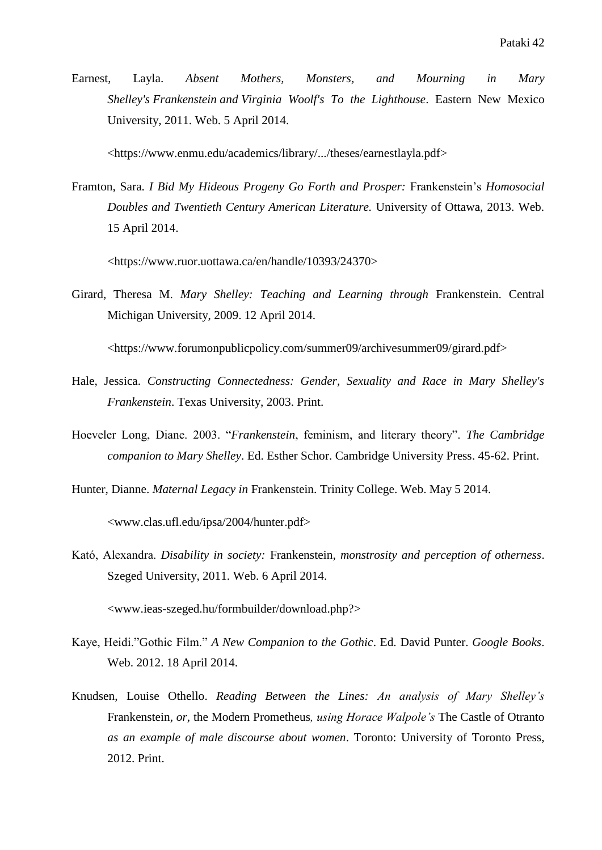Earnest, Layla. *Absent Mothers, Monsters, and Mourning in Mary Shelley's Frankenstein and Virginia Woolf's To the Lighthouse*. Eastern New Mexico University, 2011. Web. 5 April 2014.

<https://www.enmu.edu/academics/library/.../theses/earnestlayla.pdf>

Framton, Sara. *I Bid My Hideous Progeny Go Forth and Prosper:* Frankenstein's *Homosocial Doubles and Twentieth Century American Literature.* University of Ottawa, 2013. Web. 15 April 2014.

<https://www.ruor.uottawa.ca/en/handle/10393/24370>

Girard, Theresa M. *Mary Shelley: Teaching and Learning through* Frankenstein. Central Michigan University, 2009. 12 April 2014.

<https://www.forumonpublicpolicy.com/summer09/archivesummer09/girard.pdf>

- Hale, Jessica. *Constructing Connectedness: Gender, Sexuality and Race in Mary Shelley's Frankenstein*. Texas University, 2003. Print.
- Hoeveler Long, Diane. 2003. "*Frankenstein*, feminism, and literary theory". *The Cambridge companion to Mary Shelley*. Ed. Esther Schor. Cambridge University Press. 45-62. Print.
- Hunter, Dianne. *Maternal Legacy in* Frankenstein. Trinity College. Web. May 5 2014.

<www.clas.ufl.edu/ipsa/2004/hunter.pdf>

Kató, Alexandra. *Disability in society:* Frankenstein*, monstrosity and perception of otherness*. Szeged University, 2011. Web. 6 April 2014.

<www.ieas-szeged.hu/formbuilder/download.php?>

- Kaye, Heidi."Gothic Film." *A New Companion to the Gothic*. Ed. David Punter. *Google Books*. Web. 2012. 18 April 2014.
- Knudsen, Louise Othello. *Reading Between the Lines: An analysis of Mary Shelley's*  Frankenstein*, or,* the Modern Prometheus*, using Horace Walpole's* The Castle of Otranto *as an example of male discourse about women*. Toronto: University of Toronto Press, 2012. Print.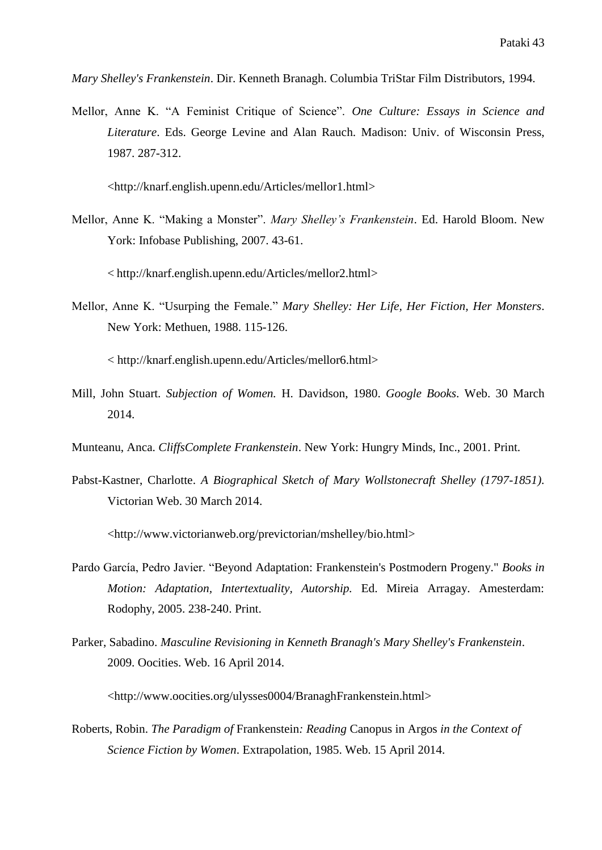*Mary Shelley's Frankenstein*. Dir. Kenneth Branagh. Columbia TriStar Film Distributors, 1994.

Mellor, Anne K. "A Feminist Critique of Science". *One Culture: Essays in Science and Literature*. Eds. George Levine and Alan Rauch. Madison: Univ. of Wisconsin Press, 1987. 287-312.

<http://knarf.english.upenn.edu/Articles/mellor1.html>

Mellor, Anne K. "Making a Monster". *Mary Shelley's Frankenstein*. Ed. Harold Bloom. New York: Infobase Publishing, 2007. 43-61.

< http://knarf.english.upenn.edu/Articles/mellor2.html>

Mellor, Anne K. "Usurping the Female." *Mary Shelley: Her Life, Her Fiction, Her Monsters*. New York: Methuen, 1988. 115-126.

< http://knarf.english.upenn.edu/Articles/mellor6.html>

- Mill, John Stuart. *Subjection of Women.* H. Davidson, 1980. *Google Books*. Web. 30 March 2014.
- Munteanu, Anca. *CliffsComplete Frankenstein*. New York: Hungry Minds, Inc., 2001. Print.
- Pabst-Kastner, Charlotte. *A Biographical Sketch of Mary Wollstonecraft Shelley (1797-1851)*. Victorian Web. 30 March 2014.

<http://www.victorianweb.org/previctorian/mshelley/bio.html>

- Pardo García, Pedro Javier. "Beyond Adaptation: Frankenstein's Postmodern Progeny." *Books in Motion: Adaptation, Intertextuality, Autorship.* Ed. Mireia Arragay. Amesterdam: Rodophy, 2005. 238-240. Print.
- Parker, Sabadino. *Masculine Revisioning in Kenneth Branagh's Mary Shelley's Frankenstein*. 2009. Oocities. Web. 16 April 2014.

<http://www.oocities.org/ulysses0004/BranaghFrankenstein.html>

Roberts, Robin. *The Paradigm of* Frankenstein*: Reading* Canopus in Argos *in the Context of Science Fiction by Women*. Extrapolation, 1985. Web. 15 April 2014.